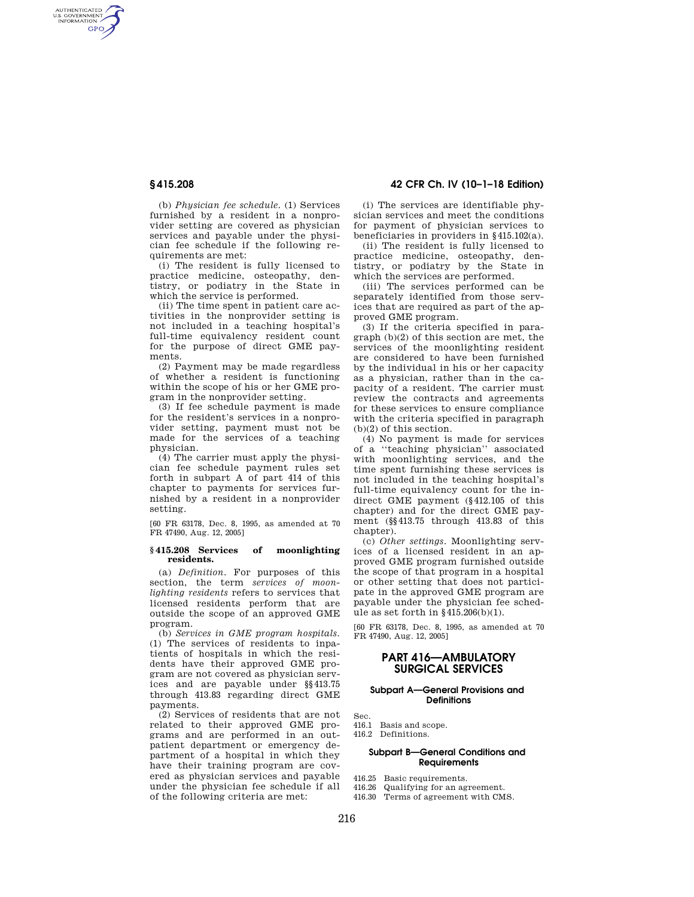AUTHENTICATED<br>U.S. GOVERNMENT<br>INFORMATION **GPO** 

> (b) *Physician fee schedule.* (1) Services furnished by a resident in a nonprovider setting are covered as physician services and payable under the physician fee schedule if the following requirements are met:

(i) The resident is fully licensed to practice medicine, osteopathy, dentistry, or podiatry in the State in which the service is performed.

(ii) The time spent in patient care activities in the nonprovider setting is not included in a teaching hospital's full-time equivalency resident count for the purpose of direct GME payments.

(2) Payment may be made regardless of whether a resident is functioning within the scope of his or her GME program in the nonprovider setting.

(3) If fee schedule payment is made for the resident's services in a nonprovider setting, payment must not be made for the services of a teaching physician.

(4) The carrier must apply the physician fee schedule payment rules set forth in subpart A of part 414 of this chapter to payments for services furnished by a resident in a nonprovider setting.

[60 FR 63178, Dec. 8, 1995, as amended at 70 FR 47490, Aug. 12, 2005]

#### **§ 415.208 Services of moonlighting residents.**

(a) *Definition.* For purposes of this section, the term *services of moonlighting residents* refers to services that licensed residents perform that are outside the scope of an approved GME program.

(b) *Services in GME program hospitals.*  (1) The services of residents to inpatients of hospitals in which the residents have their approved GME program are not covered as physician services and are payable under §§413.75 through 413.83 regarding direct GME payments.

(2) Services of residents that are not related to their approved GME programs and are performed in an outpatient department or emergency department of a hospital in which they have their training program are covered as physician services and payable under the physician fee schedule if all of the following criteria are met:

# **§ 415.208 42 CFR Ch. IV (10–1–18 Edition)**

(i) The services are identifiable physician services and meet the conditions for payment of physician services to beneficiaries in providers in §415.102(a).

(ii) The resident is fully licensed to practice medicine, osteopathy, dentistry, or podiatry by the State in which the services are performed.

(iii) The services performed can be separately identified from those services that are required as part of the approved GME program.

(3) If the criteria specified in paragraph (b)(2) of this section are met, the services of the moonlighting resident are considered to have been furnished by the individual in his or her capacity as a physician, rather than in the capacity of a resident. The carrier must review the contracts and agreements for these services to ensure compliance with the criteria specified in paragraph (b)(2) of this section.

(4) No payment is made for services of a ''teaching physician'' associated with moonlighting services, and the time spent furnishing these services is not included in the teaching hospital's full-time equivalency count for the indirect GME payment (§412.105 of this chapter) and for the direct GME payment (§§413.75 through 413.83 of this chapter).

(c) *Other settings.* Moonlighting services of a licensed resident in an approved GME program furnished outside the scope of that program in a hospital or other setting that does not participate in the approved GME program are payable under the physician fee schedule as set forth in §415.206(b)(1).

[60 FR 63178, Dec. 8, 1995, as amended at 70 FR 47490, Aug. 12, 2005]

## **PART 416—AMBULATORY SURGICAL SERVICES**

#### **Subpart A—General Provisions and Definitions**

- Sec.
- 416.1 Basis and scope.
- 416.2 Definitions.

## **Subpart B—General Conditions and Requirements**

- 416.25 Basic requirements.
- 416.26 Qualifying for an agreement.
- 416.30 Terms of agreement with CMS.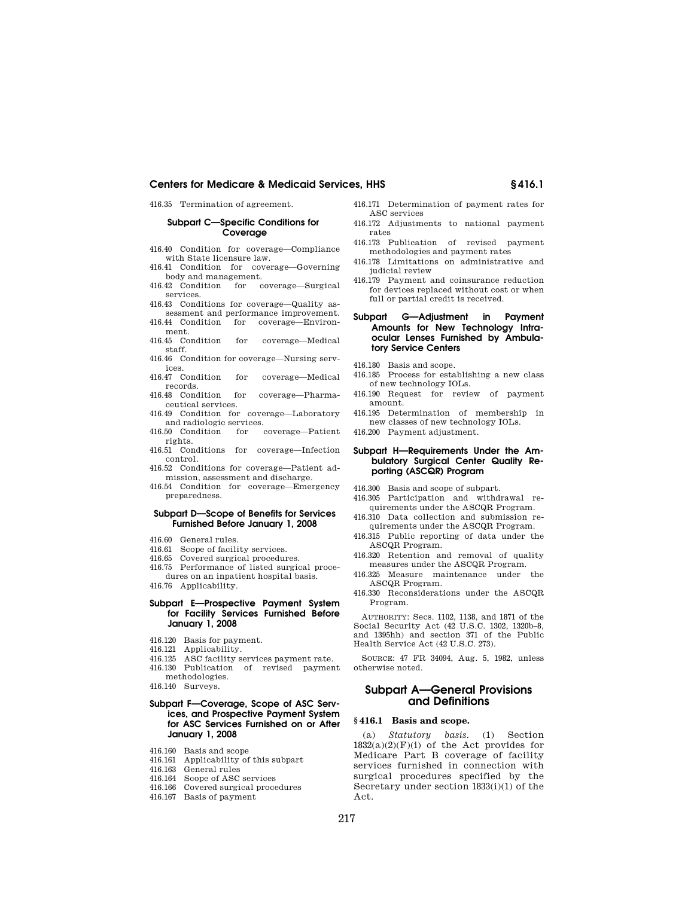416.35 Termination of agreement.

## **Subpart C—Specific Conditions for Coverage**

- 416.40 Condition for coverage—Compliance with State licensure law.
- 416.41 Condition for coverage—Governing body and management.
- 416.42 Condition for coverage—Surgical services.
- 416.43 Conditions for coverage—Quality assessment and performance improvement.
- 416.44 Condition for coverage—Environment.
- 416.45 Condition for coverage—Medical staff.
- 416.46 Condition for coverage—Nursing services.<br>416.47 Condition
- for coverage—Medical records.<br>416.48 Condition
- for coverage—Pharmaceutical services.
- 416.49 Condition for coverage—Laboratory and radiologic services.<br>416.50 Condition for
- for coverage—Patient rights.
- 416.51 Conditions for coverage—Infection control.
- 416.52 Conditions for coverage—Patient admission, assessment and discharge.
- 416.54 Condition for coverage—Emergency preparedness.

#### **Subpart D—Scope of Benefits for Services Furnished Before January 1, 2008**

- 416.60 General rules.
- 416.61 Scope of facility services.
- 416.65 Covered surgical procedures.
- 416.75 Performance of listed surgical procedures on an inpatient hospital basis.
- 416.76 Applicability.

## **Subpart E—Prospective Payment System for Facility Services Furnished Before January 1, 2008**

- 416.120 Basis for payment.
- 416.121 Applicability.
- 416.125 ASC facility services payment rate.
- 416.130 Publication of revised payment
- methodologies.
- 416.140 Surveys.

### **Subpart F—Coverage, Scope of ASC Services, and Prospective Payment System for ASC Services Furnished on or After January 1, 2008**

- 416.160 Basis and scope
- 416.161 Applicability of this subpart
- 416.163 General rules
- 416.164 Scope of ASC services
- 416.166 Covered surgical procedures
- 416.167 Basis of payment
- 416.171 Determination of payment rates for ASC services
- 416.172 Adjustments to national payment rates
- 416.173 Publication of revised payment methodologies and payment rates
- 416.178 Limitations on administrative and judicial review
- 416.179 Payment and coinsurance reduction for devices replaced without cost or when full or partial credit is received.

## **Subpart G—Adjustment in Payment Amounts for New Technology Intraocular Lenses Furnished by Ambulatory Service Centers**

416.180 Basis and scope.

- 416.185 Process for establishing a new class of new technology IOLs.
- 416.190 Request for review of payment amount.
- 416.195 Determination of membership in new classes of new technology IOLs.
- 416.200 Payment adjustment.

### **Subpart H—Requirements Under the Ambulatory Surgical Center Quality Reporting (ASCQR) Program**

- 416.300 Basis and scope of subpart.
- 416.305 Participation and withdrawal requirements under the ASCQR Program.
- 416.310 Data collection and submission requirements under the ASCQR Program.
- 416.315 Public reporting of data under the ASCQR Program.
- 416.320 Retention and removal of quality measures under the ASCQR Program.
- 416.325 Measure maintenance under the ASCQR Program.
- 416.330 Reconsiderations under the ASCQR Program.

AUTHORITY: Secs. 1102, 1138, and 1871 of the Social Security Act (42 U.S.C. 1302, 1320b–8, and 1395hh) and section 371 of the Public Health Service Act (42 U.S.C. 273).

SOURCE: 47 FR 34094, Aug. 5, 1982, unless otherwise noted.

# **Subpart A—General Provisions and Definitions**

## **§ 416.1 Basis and scope.**

(a) *Statutory basis.* (1) Section  $1832(a)(2)(F)(i)$  of the Act provides for Medicare Part B coverage of facility services furnished in connection with surgical procedures specified by the Secretary under section 1833(i)(1) of the Act.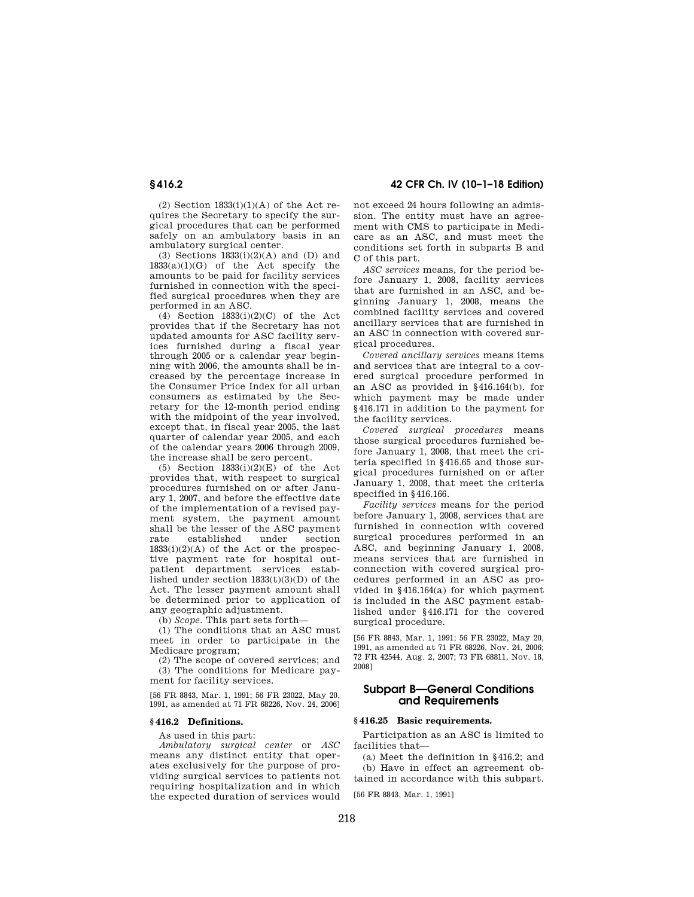**§ 416.2 42 CFR Ch. IV (10–1–18 Edition)** 

 $(2)$  Section 1833 $(i)(1)(A)$  of the Act requires the Secretary to specify the surgical procedures that can be performed safely on an ambulatory basis in an ambulatory surgical center.

(3) Sections 1833(i)(2)(A) and (D) and  $1833(a)(1)(G)$  of the Act specify the amounts to be paid for facility services furnished in connection with the specified surgical procedures when they are performed in an ASC.

(4) Section 1833(i)(2)(C) of the Act provides that if the Secretary has not updated amounts for ASC facility services furnished during a fiscal year through 2005 or a calendar year beginning with 2006, the amounts shall be increased by the percentage increase in the Consumer Price Index for all urban consumers as estimated by the Secretary for the 12-month period ending with the midpoint of the year involved, except that, in fiscal year 2005, the last quarter of calendar year 2005, and each of the calendar years 2006 through 2009, the increase shall be zero percent.

(5) Section  $1833(i)(2)(E)$  of the Act provides that, with respect to surgical procedures furnished on or after January 1, 2007, and before the effective date of the implementation of a revised payment system, the payment amount shall be the lesser of the ASC payment<br>rate established under section established under section  $1833(i)(2)(A)$  of the Act or the prospective payment rate for hospital outpatient department services established under section  $1833(t)(3)(D)$  of the Act. The lesser payment amount shall be determined prior to application of any geographic adjustment.

(b) *Scope.* This part sets forth—

(1) The conditions that an ASC must meet in order to participate in the Medicare program;

(2) The scope of covered services; and (3) The conditions for Medicare payment for facility services.

[56 FR 8843, Mar. 1, 1991; 56 FR 23022, May 20, 1991, as amended at 71 FR 68226, Nov. 24, 2006]

# **§ 416.2 Definitions.**

As used in this part:

*Ambulatory surgical center* or *ASC*  means any distinct entity that operates exclusively for the purpose of providing surgical services to patients not requiring hospitalization and in which the expected duration of services would

not exceed 24 hours following an admission. The entity must have an agreement with CMS to participate in Medicare as an ASC, and must meet the conditions set forth in subparts B and C of this part.

*ASC services* means, for the period before January 1, 2008, facility services that are furnished in an ASC, and beginning January 1, 2008, means the combined facility services and covered ancillary services that are furnished in an ASC in connection with covered surgical procedures.

*Covered ancillary services* means items and services that are integral to a covered surgical procedure performed in an ASC as provided in §416.164(b), for which payment may be made under §416.171 in addition to the payment for the facility services.

*Covered surgical procedures* means those surgical procedures furnished before January 1, 2008, that meet the criteria specified in §416.65 and those surgical procedures furnished on or after January 1, 2008, that meet the criteria specified in §416.166.

*Facility services* means for the period before January 1, 2008, services that are furnished in connection with covered surgical procedures performed in an ASC, and beginning January 1, 2008, means services that are furnished in connection with covered surgical procedures performed in an ASC as provided in §416.164(a) for which payment is included in the ASC payment established under §416.171 for the covered surgical procedure.

[56 FR 8843, Mar. 1, 1991; 56 FR 23022, May 20, 1991, as amended at 71 FR 68226, Nov. 24, 2006; 72 FR 42544, Aug. 2, 2007; 73 FR 68811, Nov. 18, 2008]

# **Subpart B—General Conditions and Requirements**

### **§ 416.25 Basic requirements.**

Participation as an ASC is limited to facilities that—

(a) Meet the definition in §416.2; and (b) Have in effect an agreement obtained in accordance with this subpart.

[56 FR 8843, Mar. 1, 1991]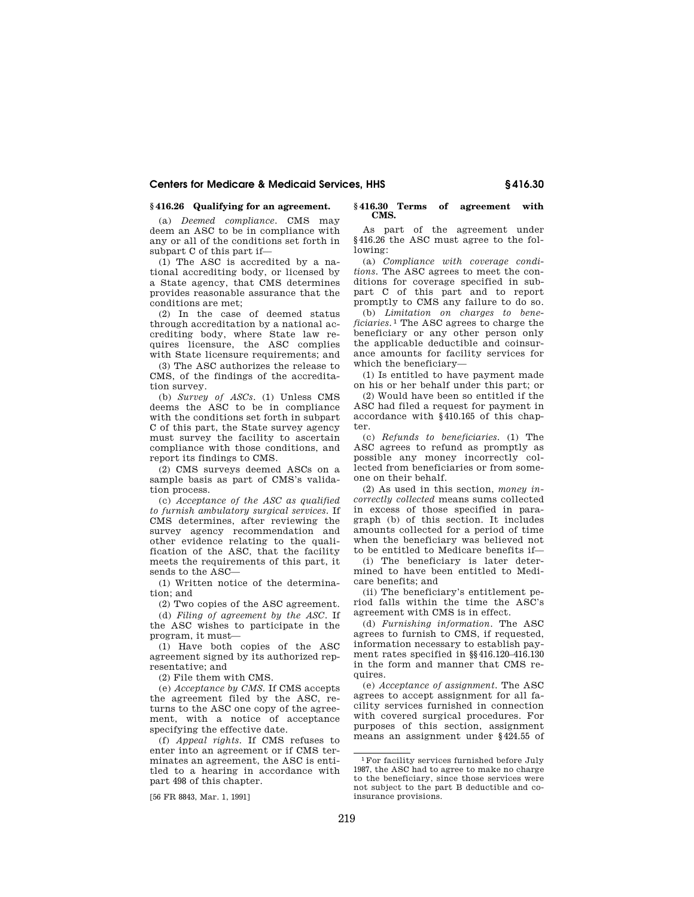## **§ 416.26 Qualifying for an agreement.**

(a) *Deemed compliance.* CMS may deem an ASC to be in compliance with any or all of the conditions set forth in subpart C of this part if—

(1) The ASC is accredited by a national accrediting body, or licensed by a State agency, that CMS determines provides reasonable assurance that the conditions are met;

(2) In the case of deemed status through accreditation by a national accrediting body, where State law requires licensure, the ASC complies with State licensure requirements; and

(3) The ASC authorizes the release to CMS, of the findings of the accreditation survey.

(b) *Survey of ASCs.* (1) Unless CMS deems the ASC to be in compliance with the conditions set forth in subpart C of this part, the State survey agency must survey the facility to ascertain compliance with those conditions, and report its findings to CMS.

(2) CMS surveys deemed ASCs on a sample basis as part of CMS's validation process.

(c) *Acceptance of the ASC as qualified to furnish ambulatory surgical services.* If CMS determines, after reviewing the survey agency recommendation and other evidence relating to the qualification of the ASC, that the facility meets the requirements of this part, it sends to the ASC—

(1) Written notice of the determination; and

(2) Two copies of the ASC agreement.

(d) *Filing of agreement by the ASC.* If the ASC wishes to participate in the program, it must—

(1) Have both copies of the ASC agreement signed by its authorized representative; and

(2) File them with CMS.

(e) *Acceptance by CMS.* If CMS accepts the agreement filed by the ASC, returns to the ASC one copy of the agreement, with a notice of acceptance specifying the effective date.

(f) *Appeal rights.* If CMS refuses to enter into an agreement or if CMS terminates an agreement, the ASC is entitled to a hearing in accordance with part 498 of this chapter.

[56 FR 8843, Mar. 1, 1991]

#### **§ 416.30 Terms of agreement with CMS.**

As part of the agreement under §416.26 the ASC must agree to the following:

(a) *Compliance with coverage conditions.* The ASC agrees to meet the conditions for coverage specified in subpart C of this part and to report promptly to CMS any failure to do so.

(b) *Limitation on charges to beneficiaries.* 1 The ASC agrees to charge the beneficiary or any other person only the applicable deductible and coinsurance amounts for facility services for which the beneficiary—

(1) Is entitled to have payment made on his or her behalf under this part; or

(2) Would have been so entitled if the ASC had filed a request for payment in accordance with §410.165 of this chapter.

(c) *Refunds to beneficiaries.* (1) The ASC agrees to refund as promptly as possible any money incorrectly collected from beneficiaries or from someone on their behalf.

(2) As used in this section, *money incorrectly collected* means sums collected in excess of those specified in paragraph (b) of this section. It includes amounts collected for a period of time when the beneficiary was believed not to be entitled to Medicare benefits if—

(i) The beneficiary is later determined to have been entitled to Medicare benefits; and

(ii) The beneficiary's entitlement period falls within the time the ASC's agreement with CMS is in effect.

(d) *Furnishing information.* The ASC agrees to furnish to CMS, if requested, information necessary to establish payment rates specified in §§416.120–416.130 in the form and manner that CMS requires.

(e) *Acceptance of assignment.* The ASC agrees to accept assignment for all facility services furnished in connection with covered surgical procedures. For purposes of this section, assignment means an assignment under §424.55 of

 $^1\rm{For}$  facility services furnished before July 1987, the ASC had to agree to make no charge to the beneficiary, since those services were not subject to the part B deductible and coinsurance provisions.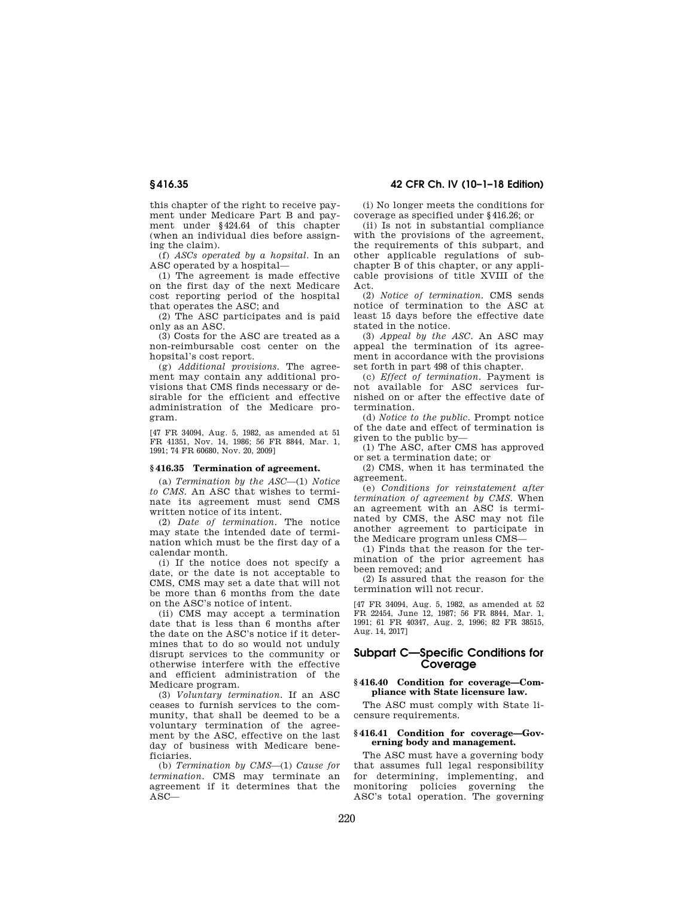this chapter of the right to receive payment under Medicare Part B and payment under §424.64 of this chapter (when an individual dies before assigning the claim).

(f) *ASCs operated by a hopsital.* In an ASC operated by a hospital—

(1) The agreement is made effective on the first day of the next Medicare cost reporting period of the hospital that operates the ASC; and

(2) The ASC participates and is paid only as an ASC.

(3) Costs for the ASC are treated as a non-reimbursable cost center on the hopsital's cost report.

(g) *Additional provisions.* The agreement may contain any additional provisions that CMS finds necessary or desirable for the efficient and effective administration of the Medicare program.

[47 FR 34094, Aug. 5, 1982, as amended at 51 FR 41351, Nov. 14, 1986; 56 FR 8844, Mar. 1, 1991; 74 FR 60680, Nov. 20, 2009]

#### **§ 416.35 Termination of agreement.**

(a) *Termination by the ASC*—(1) *Notice to CMS.* An ASC that wishes to terminate its agreement must send CMS written notice of its intent.

(2) *Date of termination.* The notice may state the intended date of termination which must be the first day of a calendar month.

(i) If the notice does not specify a date, or the date is not acceptable to CMS, CMS may set a date that will not be more than 6 months from the date on the ASC's notice of intent.

(ii) CMS may accept a termination date that is less than 6 months after the date on the ASC's notice if it determines that to do so would not unduly disrupt services to the community or otherwise interfere with the effective and efficient administration of the Medicare program.

(3) *Voluntary termination.* If an ASC ceases to furnish services to the community, that shall be deemed to be a voluntary termination of the agreement by the ASC, effective on the last day of business with Medicare beneficiaries.

(b) *Termination by CMS*—(1) *Cause for termination.* CMS may terminate an agreement if it determines that the  $\overline{ASC}$ 

**§ 416.35 42 CFR Ch. IV (10–1–18 Edition)** 

(i) No longer meets the conditions for coverage as specified under §416.26; or

(ii) Is not in substantial compliance with the provisions of the agreement, the requirements of this subpart, and other applicable regulations of subchapter B of this chapter, or any applicable provisions of title XVIII of the Act.

(2) *Notice of termination.* CMS sends notice of termination to the ASC at least 15 days before the effective date stated in the notice.

(3) *Appeal by the ASC.* An ASC may appeal the termination of its agreement in accordance with the provisions set forth in part 498 of this chapter.

(c) *Effect of termination.* Payment is not available for ASC services furnished on or after the effective date of termination.

(d) *Notice to the public.* Prompt notice of the date and effect of termination is given to the public by—

(1) The ASC, after CMS has approved or set a termination date; or

(2) CMS, when it has terminated the agreement.

(e) *Conditions for reinstatement after termination of agreement by CMS.* When an agreement with an ASC is terminated by CMS, the ASC may not file another agreement to participate in the Medicare program unless CMS—

(1) Finds that the reason for the termination of the prior agreement has been removed; and

(2) Is assured that the reason for the termination will not recur.

[47 FR 34094, Aug. 5, 1982, as amended at 52 FR 22454, June 12, 1987; 56 FR 8844, Mar. 1, 1991; 61 FR 40347, Aug. 2, 1996; 82 FR 38515, Aug. 14, 2017]

# **Subpart C—Specific Conditions for Coverage**

#### **§ 416.40 Condition for coverage—Compliance with State licensure law.**

The ASC must comply with State licensure requirements.

## **§ 416.41 Condition for coverage—Governing body and management.**

The ASC must have a governing body that assumes full legal responsibility for determining, implementing, and monitoring policies governing the ASC's total operation. The governing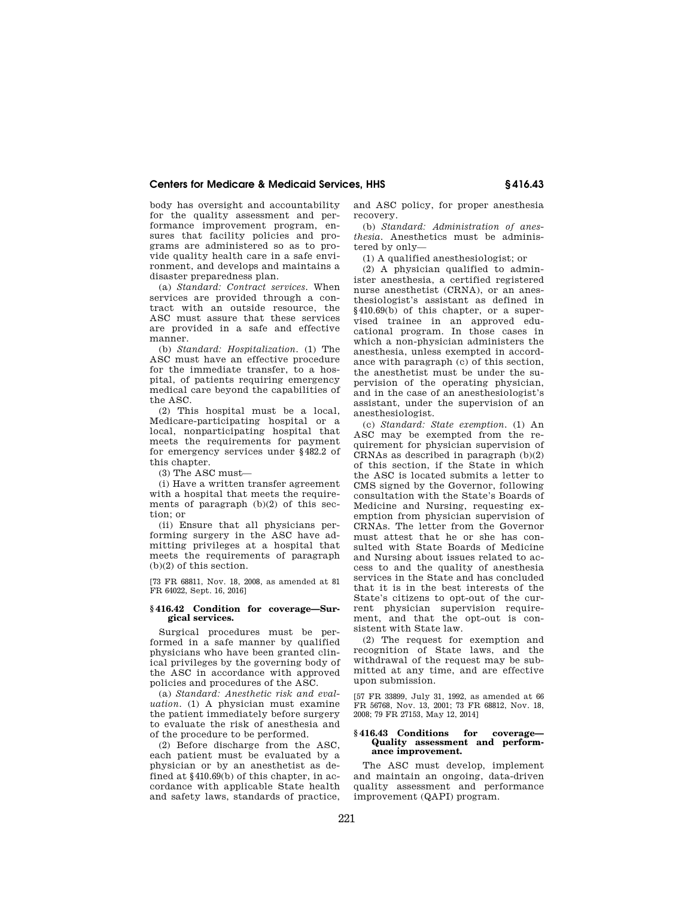body has oversight and accountability for the quality assessment and performance improvement program, ensures that facility policies and programs are administered so as to provide quality health care in a safe environment, and develops and maintains a disaster preparedness plan.

(a) *Standard: Contract services.* When services are provided through a contract with an outside resource, the ASC must assure that these services are provided in a safe and effective manner.

(b) *Standard: Hospitalization.* (1) The ASC must have an effective procedure for the immediate transfer, to a hospital, of patients requiring emergency medical care beyond the capabilities of the ASC.

(2) This hospital must be a local, Medicare-participating hospital or a local, nonparticipating hospital that meets the requirements for payment for emergency services under §482.2 of this chapter.

(3) The ASC must—

(i) Have a written transfer agreement with a hospital that meets the requirements of paragraph (b)(2) of this section; or

(ii) Ensure that all physicians performing surgery in the ASC have admitting privileges at a hospital that meets the requirements of paragraph (b)(2) of this section.

[73 FR 68811, Nov. 18, 2008, as amended at 81 FR 64022, Sept. 16, 2016]

#### **§ 416.42 Condition for coverage—Surgical services.**

Surgical procedures must be performed in a safe manner by qualified physicians who have been granted clinical privileges by the governing body of the ASC in accordance with approved policies and procedures of the ASC.

(a) *Standard: Anesthetic risk and evaluation.* (1) A physician must examine the patient immediately before surgery to evaluate the risk of anesthesia and of the procedure to be performed.

(2) Before discharge from the ASC, each patient must be evaluated by a physician or by an anesthetist as defined at §410.69(b) of this chapter, in accordance with applicable State health and safety laws, standards of practice, and ASC policy, for proper anesthesia recovery.

(b) *Standard: Administration of anesthesia.* Anesthetics must be administered by only—

(1) A qualified anesthesiologist; or

(2) A physician qualified to administer anesthesia, a certified registered nurse anesthetist (CRNA), or an anesthesiologist's assistant as defined in §410.69(b) of this chapter, or a supervised trainee in an approved educational program. In those cases in which a non-physician administers the anesthesia, unless exempted in accordance with paragraph (c) of this section, the anesthetist must be under the supervision of the operating physician, and in the case of an anesthesiologist's assistant, under the supervision of an anesthesiologist.

(c) *Standard: State exemption.* (1) An ASC may be exempted from the requirement for physician supervision of CRNAs as described in paragraph (b)(2) of this section, if the State in which the ASC is located submits a letter to CMS signed by the Governor, following consultation with the State's Boards of Medicine and Nursing, requesting exemption from physician supervision of CRNAs. The letter from the Governor must attest that he or she has consulted with State Boards of Medicine and Nursing about issues related to access to and the quality of anesthesia services in the State and has concluded that it is in the best interests of the State's citizens to opt-out of the current physician supervision requirement, and that the opt-out is consistent with State law.

(2) The request for exemption and recognition of State laws, and the withdrawal of the request may be submitted at any time, and are effective upon submission.

[57 FR 33899, July 31, 1992, as amended at 66 FR 56768, Nov. 13, 2001; 73 FR 68812, Nov. 18, 2008; 79 FR 27153, May 12, 2014]

#### **§ 416.43 Conditions for coverage— Quality assessment and performance improvement.**

The ASC must develop, implement and maintain an ongoing, data-driven quality assessment and performance improvement (QAPI) program.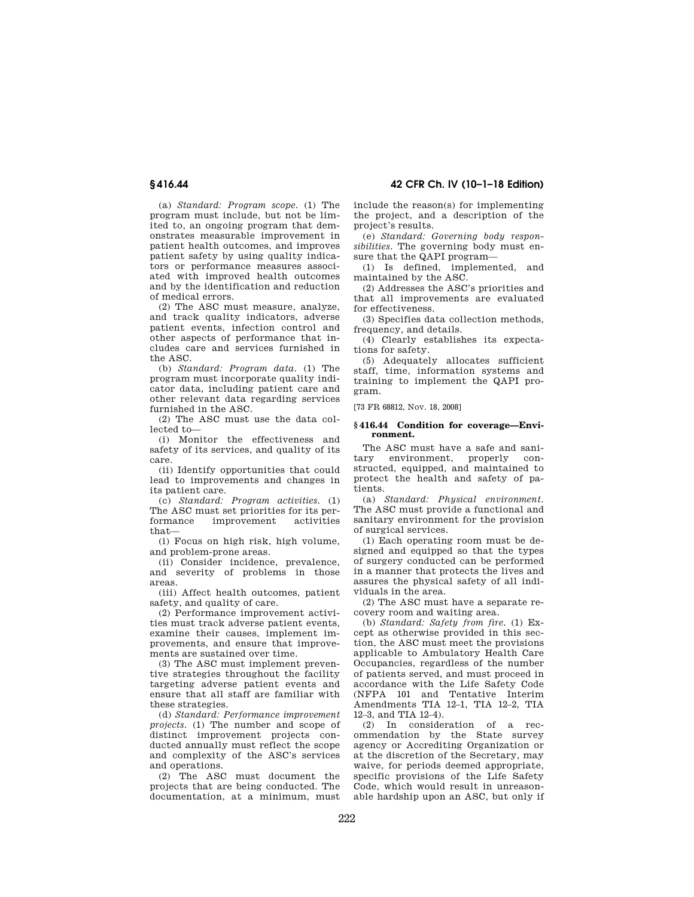**§ 416.44 42 CFR Ch. IV (10–1–18 Edition)** 

(a) *Standard: Program scope.* (1) The program must include, but not be limited to, an ongoing program that demonstrates measurable improvement in patient health outcomes, and improves patient safety by using quality indicators or performance measures associated with improved health outcomes and by the identification and reduction of medical errors.

(2) The ASC must measure, analyze, and track quality indicators, adverse patient events, infection control and other aspects of performance that includes care and services furnished in the ASC.

(b) *Standard: Program data.* (1) The program must incorporate quality indicator data, including patient care and other relevant data regarding services furnished in the ASC.

(2) The ASC must use the data collected to—

(i) Monitor the effectiveness and safety of its services, and quality of its care.

(ii) Identify opportunities that could lead to improvements and changes in its patient care.

(c) *Standard: Program activities.* (1) The ASC must set priorities for its per-<br>formance improvement activities improvement that—

(i) Focus on high risk, high volume, and problem-prone areas.

(ii) Consider incidence, prevalence, and severity of problems in those areas.

(iii) Affect health outcomes, patient safety, and quality of care.

(2) Performance improvement activities must track adverse patient events, examine their causes, implement improvements, and ensure that improvements are sustained over time.

(3) The ASC must implement preventive strategies throughout the facility targeting adverse patient events and ensure that all staff are familiar with these strategies.

(d) *Standard: Performance improvement projects.* (1) The number and scope of distinct improvement projects conducted annually must reflect the scope and complexity of the ASC's services and operations.

(2) The ASC must document the projects that are being conducted. The documentation, at a minimum, must include the reason(s) for implementing the project, and a description of the project's results.

(e) *Standard: Governing body responsibilities.* The governing body must ensure that the QAPI program—

(1) Is defined, implemented, and maintained by the ASC.

(2) Addresses the ASC's priorities and that all improvements are evaluated for effectiveness.

(3) Specifies data collection methods, frequency, and details.

(4) Clearly establishes its expectations for safety.

(5) Adequately allocates sufficient staff, time, information systems and training to implement the QAPI program.

[73 FR 68812, Nov. 18, 2008]

#### **§ 416.44 Condition for coverage—Environment.**

The ASC must have a safe and sanitary environment, properly constructed, equipped, and maintained to protect the health and safety of patients.

(a) *Standard: Physical environment.*  The ASC must provide a functional and sanitary environment for the provision of surgical services.

(1) Each operating room must be designed and equipped so that the types of surgery conducted can be performed in a manner that protects the lives and assures the physical safety of all individuals in the area.

(2) The ASC must have a separate recovery room and waiting area.

(b) *Standard: Safety from fire.* (1) Except as otherwise provided in this section, the ASC must meet the provisions applicable to Ambulatory Health Care Occupancies, regardless of the number of patients served, and must proceed in accordance with the Life Safety Code (NFPA 101 and Tentative Interim Amendments TIA 12–1, TIA 12–2, TIA 12–3, and TIA 12–4).

(2) In consideration of a recommendation by the State survey agency or Accrediting Organization or at the discretion of the Secretary, may waive, for periods deemed appropriate, specific provisions of the Life Safety Code, which would result in unreasonable hardship upon an ASC, but only if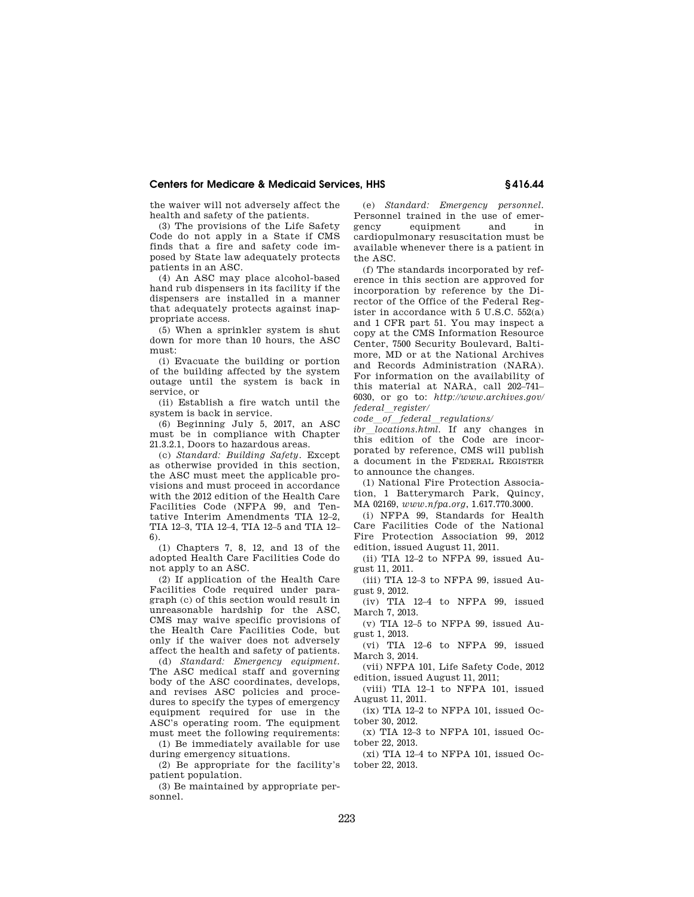the waiver will not adversely affect the health and safety of the patients.

(3) The provisions of the Life Safety Code do not apply in a State if CMS finds that a fire and safety code imposed by State law adequately protects patients in an ASC.

(4) An ASC may place alcohol-based hand rub dispensers in its facility if the dispensers are installed in a manner that adequately protects against inappropriate access.

(5) When a sprinkler system is shut down for more than 10 hours, the ASC must:

(i) Evacuate the building or portion of the building affected by the system outage until the system is back in service, or

(ii) Establish a fire watch until the system is back in service.

(6) Beginning July 5, 2017, an ASC must be in compliance with Chapter 21.3.2.1, Doors to hazardous areas.

(c) *Standard: Building Safety.* Except as otherwise provided in this section, the ASC must meet the applicable provisions and must proceed in accordance with the 2012 edition of the Health Care Facilities Code (NFPA 99, and Tentative Interim Amendments TIA 12–2, TIA 12–3, TIA 12–4, TIA 12–5 and TIA 12– 6).

(1) Chapters 7, 8, 12, and 13 of the adopted Health Care Facilities Code do not apply to an ASC.

(2) If application of the Health Care Facilities Code required under paragraph (c) of this section would result in unreasonable hardship for the ASC, CMS may waive specific provisions of the Health Care Facilities Code, but only if the waiver does not adversely affect the health and safety of patients.

(d) *Standard: Emergency equipment.*  The ASC medical staff and governing body of the ASC coordinates, develops, and revises ASC policies and procedures to specify the types of emergency equipment required for use in the ASC's operating room. The equipment must meet the following requirements:

(1) Be immediately available for use during emergency situations.

(2) Be appropriate for the facility's patient population.

(3) Be maintained by appropriate personnel.

(e) *Standard: Emergency personnel.*  Personnel trained in the use of emergency equipment and in cardiopulmonary resuscitation must be available whenever there is a patient in the ASC.

(f) The standards incorporated by reference in this section are approved for incorporation by reference by the Director of the Office of the Federal Register in accordance with 5 U.S.C. 552(a) and 1 CFR part 51. You may inspect a copy at the CMS Information Resource Center, 7500 Security Boulevard, Baltimore, MD or at the National Archives and Records Administration (NARA). For information on the availability of this material at NARA, call 202–741– 6030, or go to: *http://www.archives.gov/ federal*l*register/* 

*code*l*of*l*federal*l*regulations/* 

ibr\_locations.html. If any changes in this edition of the Code are incorporated by reference, CMS will publish a document in the FEDERAL REGISTER to announce the changes.

(1) National Fire Protection Association, 1 Batterymarch Park, Quincy, MA 02169, *www.nfpa.org*, 1.617.770.3000.

(i) NFPA 99, Standards for Health Care Facilities Code of the National Fire Protection Association 99, 2012 edition, issued August 11, 2011.

(ii) TIA 12–2 to NFPA 99, issued August 11, 2011.

(iii) TIA 12–3 to NFPA 99, issued August 9, 2012.

(iv) TIA 12–4 to NFPA 99, issued March 7, 2013.

(v) TIA 12–5 to NFPA 99, issued August 1, 2013.

(vi) TIA 12–6 to NFPA 99, issued March 3, 2014.

(vii) NFPA 101, Life Safety Code, 2012 edition, issued August 11, 2011;

(viii) TIA 12–1 to NFPA 101, issued August 11, 2011.

(ix) TIA 12–2 to NFPA 101, issued October 30, 2012.

 $(x)$  TIA 12-3 to NFPA 101, issued October 22, 2013.

(xi) TIA 12–4 to NFPA 101, issued October 22, 2013.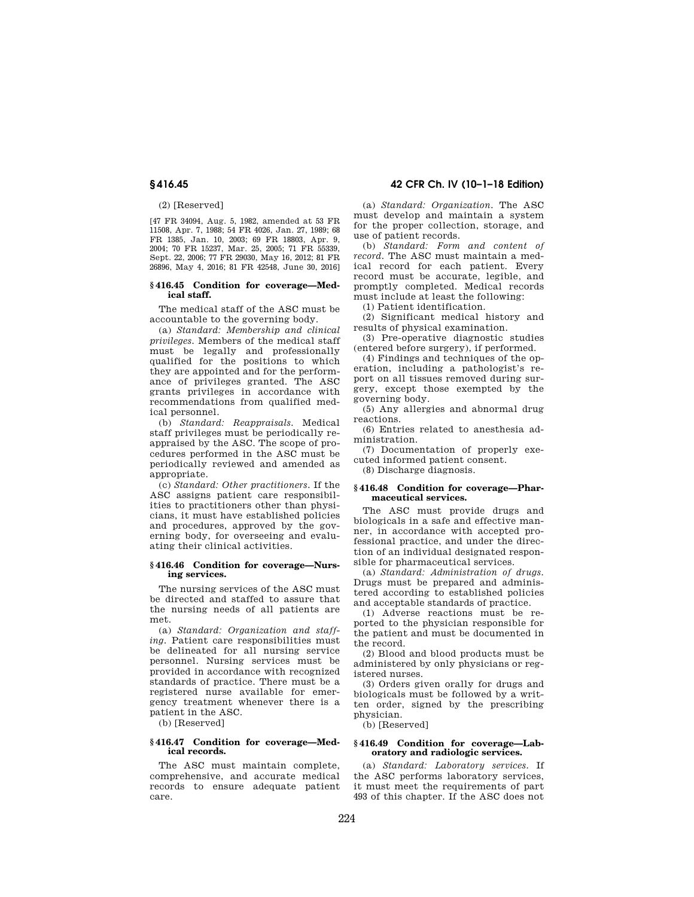### (2) [Reserved]

[47 FR 34094, Aug. 5, 1982, amended at 53 FR 11508, Apr. 7, 1988; 54 FR 4026, Jan. 27, 1989; 68 FR 1385, Jan. 10, 2003; 69 FR 18803, Apr. 9, 2004; 70 FR 15237, Mar. 25, 2005; 71 FR 55339, Sept. 22, 2006; 77 FR 29030, May 16, 2012; 81 FR 26896, May 4, 2016; 81 FR 42548, June 30, 2016]

#### **§ 416.45 Condition for coverage—Medical staff.**

The medical staff of the ASC must be accountable to the governing body.

(a) *Standard: Membership and clinical privileges.* Members of the medical staff must be legally and professionally qualified for the positions to which they are appointed and for the performance of privileges granted. The ASC grants privileges in accordance with recommendations from qualified medical personnel.

(b) *Standard: Reappraisals.* Medical staff privileges must be periodically reappraised by the ASC. The scope of procedures performed in the ASC must be periodically reviewed and amended as appropriate.

(c) *Standard: Other practitioners.* If the ASC assigns patient care responsibilities to practitioners other than physicians, it must have established policies and procedures, approved by the governing body, for overseeing and evaluating their clinical activities.

#### **§ 416.46 Condition for coverage—Nursing services.**

The nursing services of the ASC must be directed and staffed to assure that the nursing needs of all patients are met.

(a) *Standard: Organization and staffing.* Patient care responsibilities must be delineated for all nursing service personnel. Nursing services must be provided in accordance with recognized standards of practice. There must be a registered nurse available for emergency treatment whenever there is a patient in the ASC.

(b) [Reserved]

#### **§ 416.47 Condition for coverage—Medical records.**

The ASC must maintain complete, comprehensive, and accurate medical records to ensure adequate patient care.

# **§ 416.45 42 CFR Ch. IV (10–1–18 Edition)**

(a) *Standard: Organization.* The ASC must develop and maintain a system for the proper collection, storage, and use of patient records.

(b) *Standard: Form and content of record.* The ASC must maintain a medical record for each patient. Every record must be accurate, legible, and promptly completed. Medical records must include at least the following:

(1) Patient identification.

(2) Significant medical history and results of physical examination.

(3) Pre-operative diagnostic studies (entered before surgery), if performed.

(4) Findings and techniques of the operation, including a pathologist's report on all tissues removed during surgery, except those exempted by the governing body.

(5) Any allergies and abnormal drug reactions.

(6) Entries related to anesthesia administration.

(7) Documentation of properly executed informed patient consent.

(8) Discharge diagnosis.

#### **§ 416.48 Condition for coverage—Pharmaceutical services.**

The ASC must provide drugs and biologicals in a safe and effective manner, in accordance with accepted professional practice, and under the direction of an individual designated responsible for pharmaceutical services.

(a) *Standard: Administration of drugs.*  Drugs must be prepared and administered according to established policies and acceptable standards of practice.

(1) Adverse reactions must be reported to the physician responsible for the patient and must be documented in the record.

(2) Blood and blood products must be administered by only physicians or registered nurses.

(3) Orders given orally for drugs and biologicals must be followed by a written order, signed by the prescribing physician.

(b) [Reserved]

#### **§ 416.49 Condition for coverage—Laboratory and radiologic services.**

(a) *Standard: Laboratory services.* If the ASC performs laboratory services, it must meet the requirements of part 493 of this chapter. If the ASC does not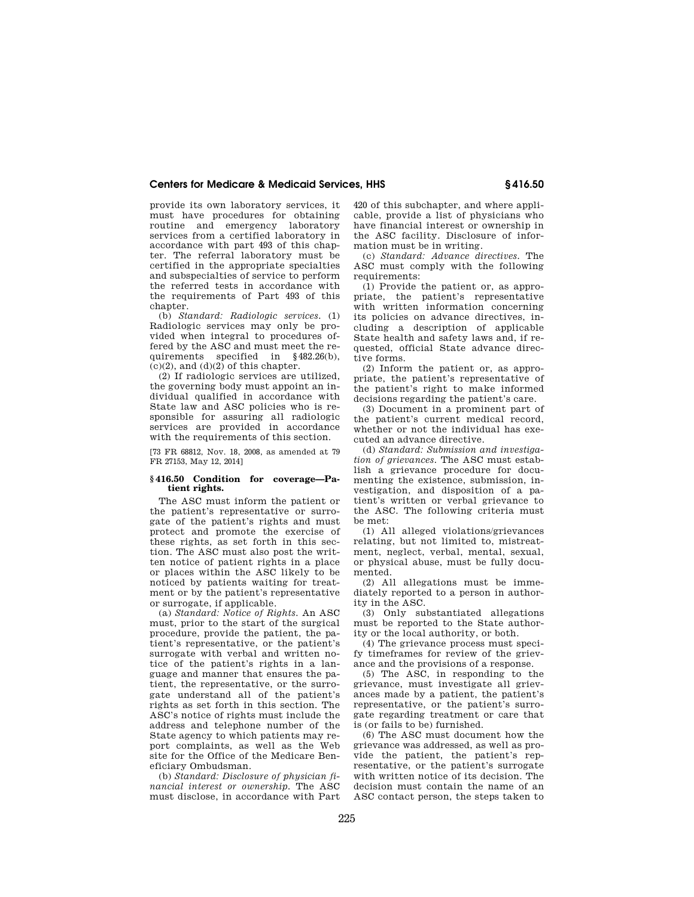provide its own laboratory services, it must have procedures for obtaining routine and emergency laboratory services from a certified laboratory in accordance with part 493 of this chapter. The referral laboratory must be certified in the appropriate specialties and subspecialties of service to perform the referred tests in accordance with the requirements of Part 493 of this chapter.

(b) *Standard: Radiologic services.* (1) Radiologic services may only be provided when integral to procedures offered by the ASC and must meet the requirements specified in §482.26(b),  $(c)(2)$ , and  $(d)(2)$  of this chapter.

(2) If radiologic services are utilized, the governing body must appoint an individual qualified in accordance with State law and ASC policies who is responsible for assuring all radiologic services are provided in accordance with the requirements of this section.

[73 FR 68812, Nov. 18, 2008, as amended at 79 FR 27153, May 12, 2014]

#### **§ 416.50 Condition for coverage—Patient rights.**

The ASC must inform the patient or the patient's representative or surrogate of the patient's rights and must protect and promote the exercise of these rights, as set forth in this section. The ASC must also post the written notice of patient rights in a place or places within the ASC likely to be noticed by patients waiting for treatment or by the patient's representative or surrogate, if applicable.

(a) *Standard: Notice of Rights.* An ASC must, prior to the start of the surgical procedure, provide the patient, the patient's representative, or the patient's surrogate with verbal and written notice of the patient's rights in a language and manner that ensures the patient, the representative, or the surrogate understand all of the patient's rights as set forth in this section. The ASC's notice of rights must include the address and telephone number of the State agency to which patients may report complaints, as well as the Web site for the Office of the Medicare Beneficiary Ombudsman.

(b) *Standard: Disclosure of physician financial interest or ownership.* The ASC must disclose, in accordance with Part 420 of this subchapter, and where applicable, provide a list of physicians who have financial interest or ownership in the ASC facility. Disclosure of information must be in writing.

(c) *Standard: Advance directives.* The ASC must comply with the following requirements:

(1) Provide the patient or, as appropriate, the patient's representative with written information concerning its policies on advance directives, including a description of applicable State health and safety laws and, if requested, official State advance directive forms.

(2) Inform the patient or, as appropriate, the patient's representative of the patient's right to make informed decisions regarding the patient's care.

(3) Document in a prominent part of the patient's current medical record, whether or not the individual has executed an advance directive.

(d) *Standard: Submission and investigation of grievances.* The ASC must establish a grievance procedure for documenting the existence, submission, investigation, and disposition of a patient's written or verbal grievance to the ASC. The following criteria must be met:

(1) All alleged violations/grievances relating, but not limited to, mistreatment, neglect, verbal, mental, sexual, or physical abuse, must be fully documented.

(2) All allegations must be immediately reported to a person in authority in the ASC.

(3) Only substantiated allegations must be reported to the State authority or the local authority, or both.

(4) The grievance process must specify timeframes for review of the grievance and the provisions of a response.

(5) The ASC, in responding to the grievance, must investigate all grievances made by a patient, the patient's representative, or the patient's surrogate regarding treatment or care that is (or fails to be) furnished.

(6) The ASC must document how the grievance was addressed, as well as provide the patient, the patient's representative, or the patient's surrogate with written notice of its decision. The decision must contain the name of an ASC contact person, the steps taken to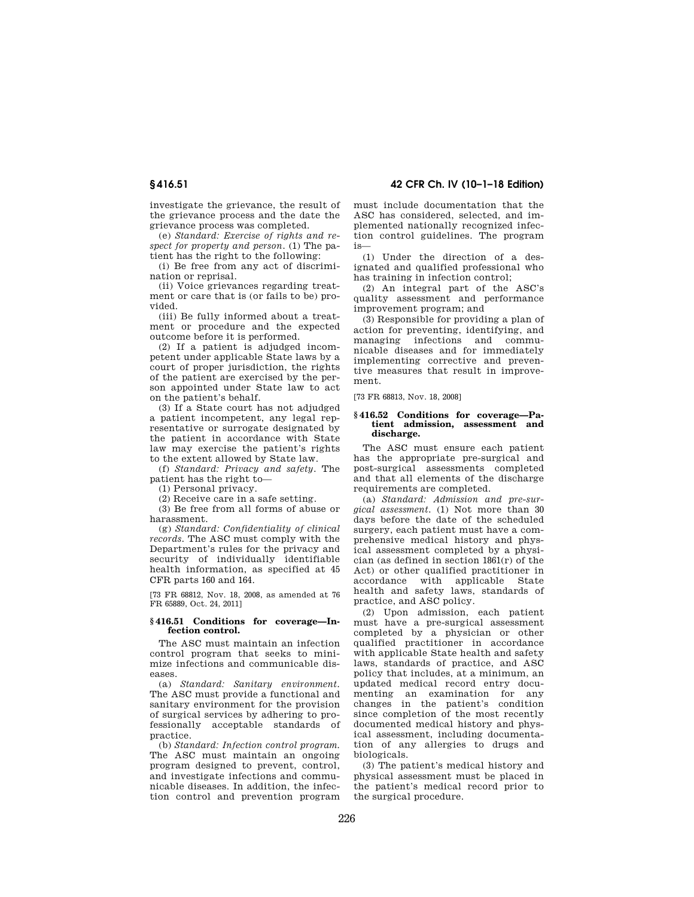investigate the grievance, the result of the grievance process and the date the grievance process was completed.

(e) *Standard: Exercise of rights and respect for property and person.* (1) The patient has the right to the following:

(i) Be free from any act of discrimination or reprisal.

(ii) Voice grievances regarding treatment or care that is (or fails to be) provided.

(iii) Be fully informed about a treatment or procedure and the expected outcome before it is performed.

(2) If a patient is adjudged incompetent under applicable State laws by a court of proper jurisdiction, the rights of the patient are exercised by the person appointed under State law to act on the patient's behalf.

(3) If a State court has not adjudged a patient incompetent, any legal representative or surrogate designated by the patient in accordance with State law may exercise the patient's rights to the extent allowed by State law.

(f) *Standard: Privacy and safety.* The patient has the right to—

(1) Personal privacy.

(2) Receive care in a safe setting.

(3) Be free from all forms of abuse or harassment.

(g) *Standard: Confidentiality of clinical records.* The ASC must comply with the Department's rules for the privacy and security of individually identifiable health information, as specified at 45 CFR parts 160 and 164.

[73 FR 68812, Nov. 18, 2008, as amended at 76 FR 65889, Oct. 24, 2011]

### **§ 416.51 Conditions for coverage—Infection control.**

The ASC must maintain an infection control program that seeks to minimize infections and communicable diseases.

(a) *Standard: Sanitary environment.*  The ASC must provide a functional and sanitary environment for the provision of surgical services by adhering to professionally acceptable standards of practice.

(b) *Standard: Infection control program.*  The ASC must maintain an ongoing program designed to prevent, control, and investigate infections and communicable diseases. In addition, the infection control and prevention program

**§ 416.51 42 CFR Ch. IV (10–1–18 Edition)** 

must include documentation that the ASC has considered, selected, and implemented nationally recognized infection control guidelines. The program is—

(1) Under the direction of a designated and qualified professional who has training in infection control;

(2) An integral part of the ASC's quality assessment and performance improvement program; and

(3) Responsible for providing a plan of action for preventing, identifying, and managing infections and communicable diseases and for immediately implementing corrective and preventive measures that result in improvement.

[73 FR 68813, Nov. 18, 2008]

#### **§ 416.52 Conditions for coverage—Patient admission, assessment and discharge.**

The ASC must ensure each patient has the appropriate pre-surgical and post-surgical assessments completed and that all elements of the discharge requirements are completed.

(a) *Standard: Admission and pre-surgical assessment.* (1) Not more than 30 days before the date of the scheduled surgery, each patient must have a comprehensive medical history and physical assessment completed by a physician (as defined in section 1861(r) of the Act) or other qualified practitioner in accordance with applicable State health and safety laws, standards of practice, and ASC policy.

(2) Upon admission, each patient must have a pre-surgical assessment completed by a physician or other qualified practitioner in accordance with applicable State health and safety laws, standards of practice, and ASC policy that includes, at a minimum, an updated medical record entry documenting an examination for any changes in the patient's condition since completion of the most recently documented medical history and physical assessment, including documentation of any allergies to drugs and biologicals.

(3) The patient's medical history and physical assessment must be placed in the patient's medical record prior to the surgical procedure.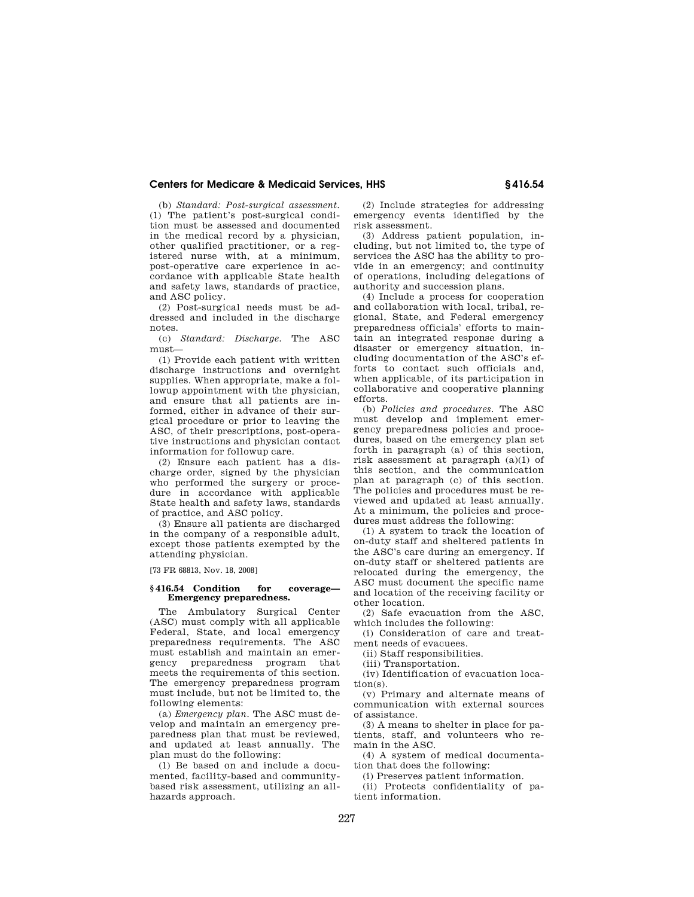(b) *Standard: Post-surgical assessment.*  (1) The patient's post-surgical condition must be assessed and documented in the medical record by a physician, other qualified practitioner, or a registered nurse with, at a minimum, post-operative care experience in accordance with applicable State health and safety laws, standards of practice, and ASC policy.

(2) Post-surgical needs must be addressed and included in the discharge notes.

(c) *Standard: Discharge.* The ASC must—

(1) Provide each patient with written discharge instructions and overnight supplies. When appropriate, make a followup appointment with the physician, and ensure that all patients are informed, either in advance of their surgical procedure or prior to leaving the ASC, of their prescriptions, post-operative instructions and physician contact information for followup care.

(2) Ensure each patient has a discharge order, signed by the physician who performed the surgery or procedure in accordance with applicable State health and safety laws, standards of practice, and ASC policy.

(3) Ensure all patients are discharged in the company of a responsible adult, except those patients exempted by the attending physician.

[73 FR 68813, Nov. 18, 2008]

## **§ 416.54 Condition for coverage— Emergency preparedness.**

The Ambulatory Surgical Center (ASC) must comply with all applicable Federal, State, and local emergency preparedness requirements. The ASC must establish and maintain an emergency preparedness program that meets the requirements of this section. The emergency preparedness program must include, but not be limited to, the following elements:

(a) *Emergency plan.* The ASC must develop and maintain an emergency preparedness plan that must be reviewed, and updated at least annually. The plan must do the following:

(1) Be based on and include a documented, facility-based and communitybased risk assessment, utilizing an allhazards approach.

(2) Include strategies for addressing emergency events identified by the risk assessment.

(3) Address patient population, including, but not limited to, the type of services the ASC has the ability to provide in an emergency; and continuity of operations, including delegations of authority and succession plans.

(4) Include a process for cooperation and collaboration with local, tribal, regional, State, and Federal emergency preparedness officials' efforts to maintain an integrated response during a disaster or emergency situation, including documentation of the ASC's efforts to contact such officials and, when applicable, of its participation in collaborative and cooperative planning efforts.

(b) *Policies and procedures.* The ASC must develop and implement emergency preparedness policies and procedures, based on the emergency plan set forth in paragraph (a) of this section, risk assessment at paragraph (a)(1) of this section, and the communication plan at paragraph (c) of this section. The policies and procedures must be reviewed and updated at least annually. At a minimum, the policies and procedures must address the following:

(1) A system to track the location of on-duty staff and sheltered patients in the ASC's care during an emergency. If on-duty staff or sheltered patients are relocated during the emergency, the ASC must document the specific name and location of the receiving facility or other location.

(2) Safe evacuation from the ASC, which includes the following:

(i) Consideration of care and treatment needs of evacuees.

(ii) Staff responsibilities.

(iii) Transportation.

(iv) Identification of evacuation location(s).

(v) Primary and alternate means of communication with external sources of assistance.

(3) A means to shelter in place for patients, staff, and volunteers who remain in the ASC.

(4) A system of medical documentation that does the following:

(i) Preserves patient information.

(ii) Protects confidentiality of patient information.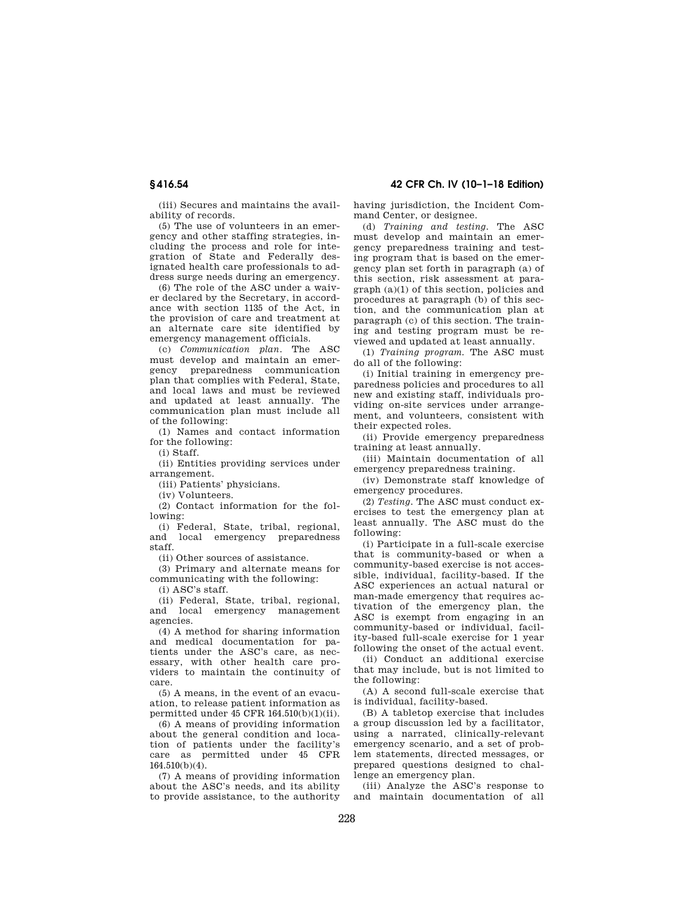(iii) Secures and maintains the availability of records.

(5) The use of volunteers in an emergency and other staffing strategies, including the process and role for integration of State and Federally designated health care professionals to address surge needs during an emergency.

(6) The role of the ASC under a waiver declared by the Secretary, in accordance with section 1135 of the Act, in the provision of care and treatment at an alternate care site identified by emergency management officials.

(c) *Communication plan.* The ASC must develop and maintain an emergency preparedness communication plan that complies with Federal, State, and local laws and must be reviewed and updated at least annually. The communication plan must include all of the following:

(1) Names and contact information for the following:

(i) Staff.

(ii) Entities providing services under arrangement.

(iii) Patients' physicians.

(iv) Volunteers.

(2) Contact information for the following:

(i) Federal, State, tribal, regional, and local emergency preparedness staff.

(ii) Other sources of assistance.

(3) Primary and alternate means for communicating with the following:

(i) ASC's staff.

(ii) Federal, State, tribal, regional, and local emergency management agencies.

(4) A method for sharing information and medical documentation for patients under the ASC's care, as necessary, with other health care providers to maintain the continuity of care.

(5) A means, in the event of an evacuation, to release patient information as permitted under 45 CFR 164.510(b)(1)(ii).

(6) A means of providing information about the general condition and location of patients under the facility's care as permitted under 45 CFR 164.510(b)(4).

(7) A means of providing information about the ASC's needs, and its ability to provide assistance, to the authority

**§ 416.54 42 CFR Ch. IV (10–1–18 Edition)** 

having jurisdiction, the Incident Command Center, or designee.

(d) *Training and testing.* The ASC must develop and maintain an emergency preparedness training and testing program that is based on the emergency plan set forth in paragraph (a) of this section, risk assessment at paragraph (a)(1) of this section, policies and procedures at paragraph (b) of this section, and the communication plan at paragraph (c) of this section. The training and testing program must be reviewed and updated at least annually.

(1) *Training program.* The ASC must do all of the following:

(i) Initial training in emergency preparedness policies and procedures to all new and existing staff, individuals providing on-site services under arrangement, and volunteers, consistent with their expected roles.

(ii) Provide emergency preparedness training at least annually.

(iii) Maintain documentation of all emergency preparedness training.

(iv) Demonstrate staff knowledge of emergency procedures.

(2) *Testing.* The ASC must conduct exercises to test the emergency plan at least annually. The ASC must do the following:

(i) Participate in a full-scale exercise that is community-based or when a community-based exercise is not accessible, individual, facility-based. If the ASC experiences an actual natural or man-made emergency that requires activation of the emergency plan, the ASC is exempt from engaging in an community-based or individual, facility-based full-scale exercise for 1 year following the onset of the actual event.

(ii) Conduct an additional exercise that may include, but is not limited to the following:

(A) A second full-scale exercise that is individual, facility-based.

(B) A tabletop exercise that includes a group discussion led by a facilitator, using a narrated, clinically-relevant emergency scenario, and a set of problem statements, directed messages, or prepared questions designed to challenge an emergency plan.

(iii) Analyze the ASC's response to and maintain documentation of all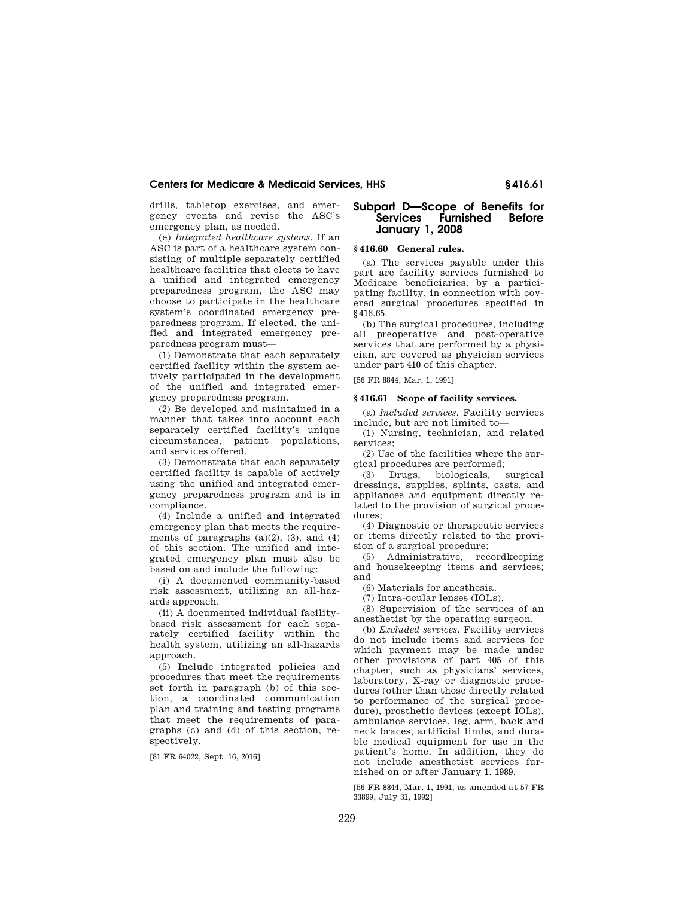drills, tabletop exercises, and emergency events and revise the ASC's emergency plan, as needed.

(e) *Integrated healthcare systems.* If an ASC is part of a healthcare system consisting of multiple separately certified healthcare facilities that elects to have a unified and integrated emergency preparedness program, the ASC may choose to participate in the healthcare system's coordinated emergency preparedness program. If elected, the unified and integrated emergency preparedness program must—

(1) Demonstrate that each separately certified facility within the system actively participated in the development of the unified and integrated emergency preparedness program.

(2) Be developed and maintained in a manner that takes into account each separately certified facility's unique circumstances, patient populations, and services offered.

(3) Demonstrate that each separately certified facility is capable of actively using the unified and integrated emergency preparedness program and is in compliance.

(4) Include a unified and integrated emergency plan that meets the requirements of paragraphs  $(a)(2)$ ,  $(3)$ , and  $(4)$ of this section. The unified and integrated emergency plan must also be based on and include the following:

(i) A documented community-based risk assessment, utilizing an all-hazards approach.

(ii) A documented individual facilitybased risk assessment for each separately certified facility within the health system, utilizing an all-hazards approach.

(5) Include integrated policies and procedures that meet the requirements set forth in paragraph (b) of this section, a coordinated communication plan and training and testing programs that meet the requirements of paragraphs (c) and (d) of this section, respectively.

[81 FR 64022, Sept. 16, 2016]

# **Subpart D—Scope of Benefits for Furnished Before January 1, 2008**

## **§ 416.60 General rules.**

(a) The services payable under this part are facility services furnished to Medicare beneficiaries, by a participating facility, in connection with covered surgical procedures specified in §416.65.

(b) The surgical procedures, including all preoperative and post-operative services that are performed by a physician, are covered as physician services under part 410 of this chapter.

## [56 FR 8844, Mar. 1, 1991]

## **§ 416.61 Scope of facility services.**

(a) *Included services.* Facility services include, but are not limited to—

(1) Nursing, technician, and related services;

(2) Use of the facilities where the surgical procedures are performed;

(3) Drugs, biologicals, surgical dressings, supplies, splints, casts, and appliances and equipment directly related to the provision of surgical procedures;

(4) Diagnostic or therapeutic services or items directly related to the provision of a surgical procedure;

(5) Administrative, recordkeeping and housekeeping items and services; and

(6) Materials for anesthesia.

(7) Intra-ocular lenses (IOLs).

(8) Supervision of the services of an anesthetist by the operating surgeon.

(b) *Excluded services.* Facility services do not include items and services for which payment may be made under other provisions of part 405 of this chapter, such as physicians' services, laboratory, X-ray or diagnostic procedures (other than those directly related to performance of the surgical procedure), prosthetic devices (except IOLs), ambulance services, leg, arm, back and neck braces, artificial limbs, and durable medical equipment for use in the patient's home. In addition, they do not include anesthetist services furnished on or after January 1, 1989.

[56 FR 8844, Mar. 1, 1991, as amended at 57 FR 33899, July 31, 1992]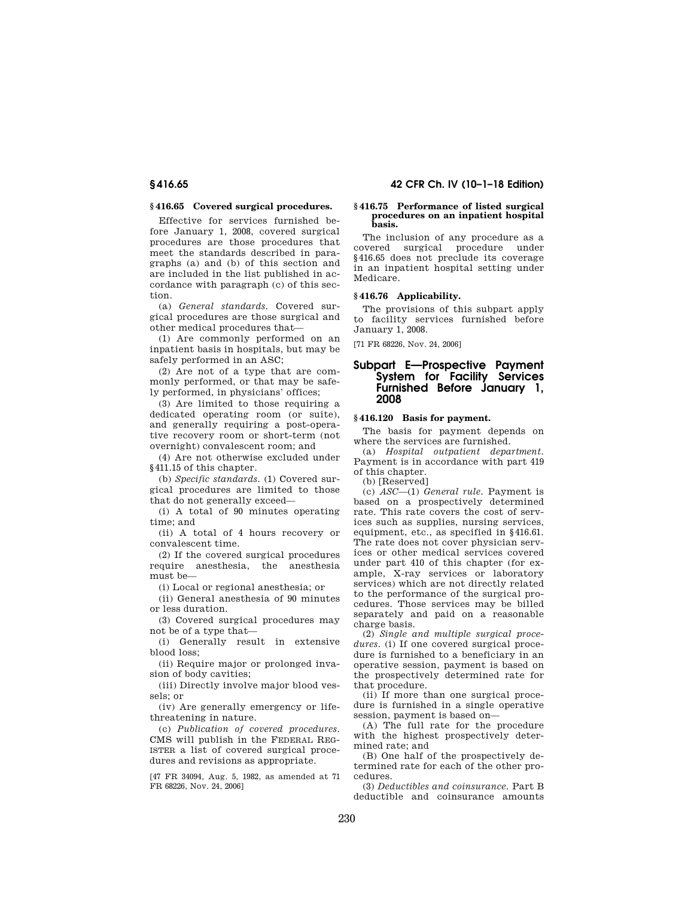## **§ 416.65 Covered surgical procedures.**

Effective for services furnished before January 1, 2008, covered surgical procedures are those procedures that meet the standards described in paragraphs (a) and (b) of this section and are included in the list published in accordance with paragraph (c) of this section.

(a) *General standards.* Covered surgical procedures are those surgical and other medical procedures that—

(1) Are commonly performed on an inpatient basis in hospitals, but may be safely performed in an ASC;

(2) Are not of a type that are commonly performed, or that may be safely performed, in physicians' offices;

(3) Are limited to those requiring a dedicated operating room (or suite), and generally requiring a post-operative recovery room or short-term (not overnight) convalescent room; and

(4) Are not otherwise excluded under §411.15 of this chapter.

(b) *Specific standards.* (1) Covered surgical procedures are limited to those that do not generally exceed—

(i) A total of 90 minutes operating time; and

(ii) A total of 4 hours recovery or convalescent time.

(2) If the covered surgical procedures require anesthesia, the anesthesia must be—

(i) Local or regional anesthesia; or

(ii) General anesthesia of 90 minutes or less duration.

(3) Covered surgical procedures may not be of a type that—

(i) Generally result in extensive blood loss;

(ii) Require major or prolonged invasion of body cavities;

(iii) Directly involve major blood vessels; or

(iv) Are generally emergency or lifethreatening in nature.

(c) *Publication of covered procedures.*  CMS will publish in the FEDERAL REG-ISTER a list of covered surgical procedures and revisions as appropriate.

[47 FR 34094, Aug. 5, 1982, as amended at 71 FR 68226, Nov. 24, 2006]

#### **§ 416.75 Performance of listed surgical procedures on an inpatient hospital basis.**

The inclusion of any procedure as a covered surgical procedure under §416.65 does not preclude its coverage in an inpatient hospital setting under Medicare.

## **§ 416.76 Applicability.**

The provisions of this subpart apply to facility services furnished before January 1, 2008.

[71 FR 68226, Nov. 24, 2006]

# **Subpart E—Prospective Payment System for Facility Services Furnished Before January 1, 2008**

## **§ 416.120 Basis for payment.**

The basis for payment depends on where the services are furnished.

(a) *Hospital outpatient department.*  Payment is in accordance with part 419 of this chapter.

(b) [Reserved]

(c) *ASC*—(1) *General rule.* Payment is based on a prospectively determined rate. This rate covers the cost of services such as supplies, nursing services, equipment, etc., as specified in §416.61. The rate does not cover physician services or other medical services covered under part 410 of this chapter (for example, X-ray services or laboratory services) which are not directly related to the performance of the surgical procedures. Those services may be billed separately and paid on a reasonable charge basis.

(2) *Single and multiple surgical procedures.* (i) If one covered surgical procedure is furnished to a beneficiary in an operative session, payment is based on the prospectively determined rate for that procedure.

(ii) If more than one surgical procedure is furnished in a single operative session, payment is based on—

(A) The full rate for the procedure with the highest prospectively determined rate; and

(B) One half of the prospectively determined rate for each of the other procedures.

(3) *Deductibles and coinsurance.* Part B deductible and coinsurance amounts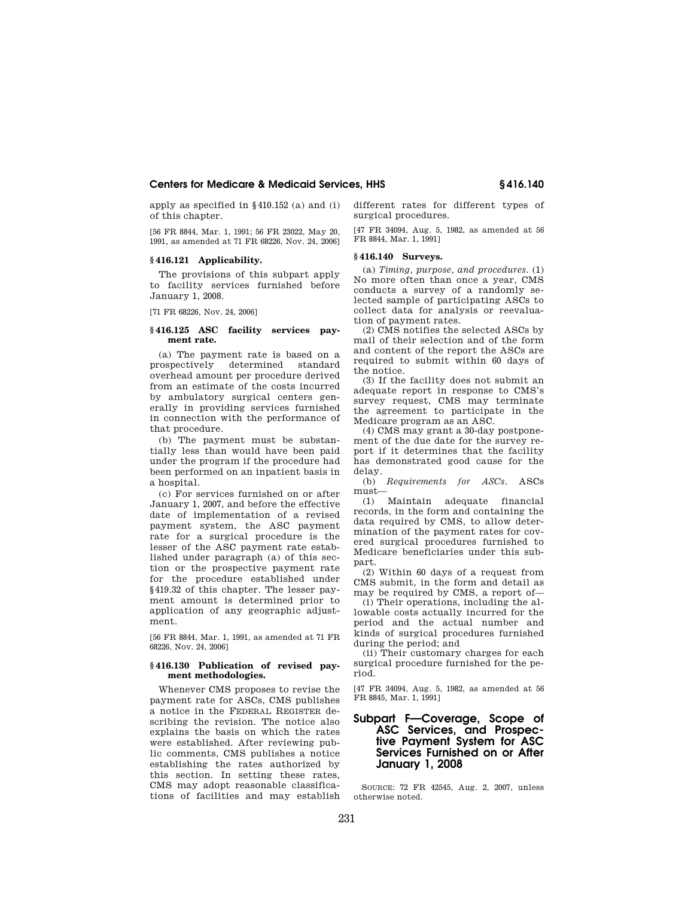apply as specified in §410.152 (a) and (i) of this chapter.

[56 FR 8844, Mar. 1, 1991; 56 FR 23022, May 20, 1991, as amended at 71 FR 68226, Nov. 24, 2006]

## **§ 416.121 Applicability.**

The provisions of this subpart apply to facility services furnished before January 1, 2008.

[71 FR 68226, Nov. 24, 2006]

## **§ 416.125 ASC facility services payment rate.**

(a) The payment rate is based on a prospectively determined standard overhead amount per procedure derived from an estimate of the costs incurred by ambulatory surgical centers generally in providing services furnished in connection with the performance of that procedure.

(b) The payment must be substantially less than would have been paid under the program if the procedure had been performed on an inpatient basis in a hospital.

(c) For services furnished on or after January 1, 2007, and before the effective date of implementation of a revised payment system, the ASC payment rate for a surgical procedure is the lesser of the ASC payment rate established under paragraph (a) of this section or the prospective payment rate for the procedure established under §419.32 of this chapter. The lesser payment amount is determined prior to application of any geographic adjustment.

[56 FR 8844, Mar. 1, 1991, as amended at 71 FR 68226, Nov. 24, 2006]

## **§ 416.130 Publication of revised payment methodologies.**

Whenever CMS proposes to revise the payment rate for ASCs, CMS publishes a notice in the FEDERAL REGISTER describing the revision. The notice also explains the basis on which the rates were established. After reviewing public comments, CMS publishes a notice establishing the rates authorized by this section. In setting these rates, CMS may adopt reasonable classifications of facilities and may establish different rates for different types of surgical procedures.

[47 FR 34094, Aug. 5, 1982, as amended at 56 FR 8844, Mar. 1, 1991]

#### **§ 416.140 Surveys.**

(a) *Timing, purpose, and procedures.* (1) No more often than once a year, CMS conducts a survey of a randomly selected sample of participating ASCs to collect data for analysis or reevaluation of payment rates.

(2) CMS notifies the selected ASCs by mail of their selection and of the form and content of the report the ASCs are required to submit within 60 days of the notice.

(3) If the facility does not submit an adequate report in response to CMS's survey request, CMS may terminate the agreement to participate in the Medicare program as an ASC.

(4) CMS may grant a 30-day postponement of the due date for the survey report if it determines that the facility has demonstrated good cause for the delay.

(b) *Requirements for ASCs.* ASCs must—

(1) Maintain adequate financial records, in the form and containing the data required by CMS, to allow determination of the payment rates for covered surgical procedures furnished to Medicare beneficiaries under this subpart.

(2) Within 60 days of a request from CMS submit, in the form and detail as may be required by CMS, a report of—

(i) Their operations, including the allowable costs actually incurred for the period and the actual number and kinds of surgical procedures furnished during the period; and

(ii) Their customary charges for each surgical procedure furnished for the period.

[47 FR 34094, Aug. 5, 1982, as amended at 56 FR 8845, Mar. 1, 1991]

# **Subpart F—Coverage, Scope of ASC Services, and Prospective Payment System for ASC Services Furnished on or After January 1, 2008**

SOURCE: 72 FR 42545, Aug. 2, 2007, unless otherwise noted.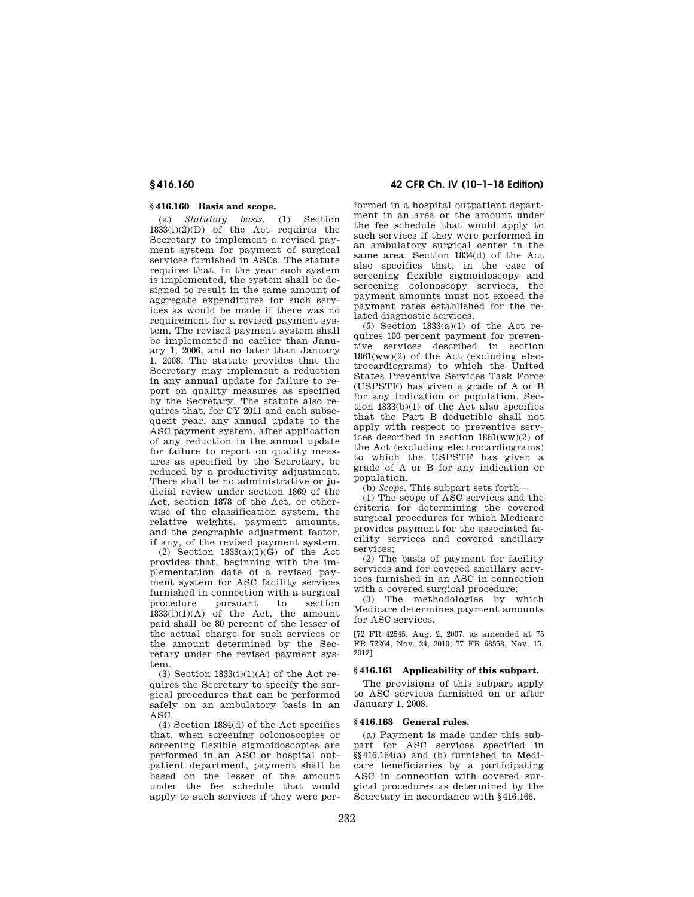## **§ 416.160 Basis and scope.**

(a) *Statutory basis.* (1) Section  $1833(i)(2)(D)$  of the Act requires the Secretary to implement a revised payment system for payment of surgical services furnished in ASCs. The statute requires that, in the year such system is implemented, the system shall be designed to result in the same amount of aggregate expenditures for such services as would be made if there was no requirement for a revised payment system. The revised payment system shall be implemented no earlier than January 1, 2006, and no later than January 1, 2008. The statute provides that the Secretary may implement a reduction in any annual update for failure to report on quality measures as specified by the Secretary. The statute also requires that, for CY 2011 and each subsequent year, any annual update to the ASC payment system, after application of any reduction in the annual update for failure to report on quality measures as specified by the Secretary, be reduced by a productivity adjustment. There shall be no administrative or judicial review under section 1869 of the Act, section 1878 of the Act, or otherwise of the classification system, the relative weights, payment amounts, and the geographic adjustment factor, if any, of the revised payment system.

(2) Section  $1833(a)(1)(G)$  of the Act provides that, beginning with the implementation date of a revised payment system for ASC facility services furnished in connection with a surgical procedure pursuant to section  $1833(i)(1)(A)$  of the Act, the amount paid shall be 80 percent of the lesser of the actual charge for such services or the amount determined by the Secretary under the revised payment system.

(3) Section  $1833(i)(1)(A)$  of the Act requires the Secretary to specify the surgical procedures that can be performed safely on an ambulatory basis in an ASC.

(4) Section 1834(d) of the Act specifies that, when screening colonoscopies or screening flexible sigmoidoscopies are performed in an ASC or hospital outpatient department, payment shall be based on the lesser of the amount under the fee schedule that would apply to such services if they were per-

# **§ 416.160 42 CFR Ch. IV (10–1–18 Edition)**

formed in a hospital outpatient department in an area or the amount under the fee schedule that would apply to such services if they were performed in an ambulatory surgical center in the same area. Section 1834(d) of the Act also specifies that, in the case of screening flexible sigmoidoscopy and screening colonoscopy services, the payment amounts must not exceed the payment rates established for the related diagnostic services.

(5) Section 1833(a)(1) of the Act requires 100 percent payment for preventive services described in section 1861(ww)(2) of the Act (excluding electrocardiograms) to which the United States Preventive Services Task Force (USPSTF) has given a grade of A or B for any indication or population. Section 1833(b)(1) of the Act also specifies that the Part B deductible shall not apply with respect to preventive services described in section 1861(ww)(2) of the Act (excluding electrocardiograms) to which the USPSTF has given a grade of A or B for any indication or population.

(b) *Scope.* This subpart sets forth—

(1) The scope of ASC services and the criteria for determining the covered surgical procedures for which Medicare provides payment for the associated facility services and covered ancillary services;

(2) The basis of payment for facility services and for covered ancillary services furnished in an ASC in connection with a covered surgical procedure;

(3) The methodologies by which Medicare determines payment amounts for ASC services.

[72 FR 42545, Aug. 2, 2007, as amended at 75 FR 72264, Nov. 24, 2010; 77 FR 68558, Nov. 15, 2012]

## **§ 416.161 Applicability of this subpart.**

The provisions of this subpart apply to ASC services furnished on or after January 1, 2008.

## **§ 416.163 General rules.**

(a) Payment is made under this subpart for ASC services specified in §§416.164(a) and (b) furnished to Medicare beneficiaries by a participating ASC in connection with covered surgical procedures as determined by the Secretary in accordance with §416.166.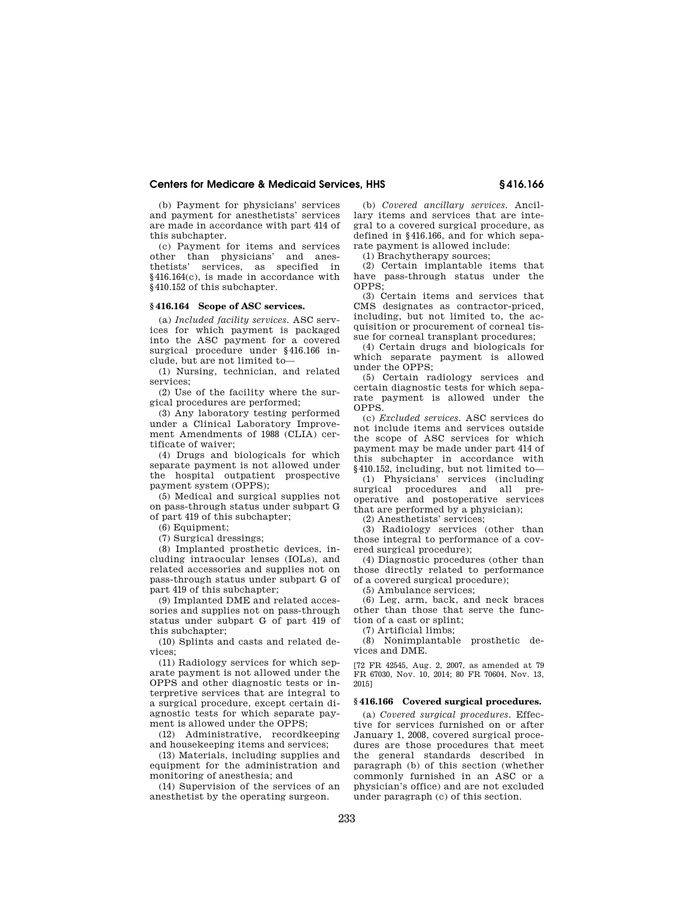(b) Payment for physicians' services and payment for anesthetists' services are made in accordance with part 414 of this subchapter.

(c) Payment for items and services other than physicians' and anesthetists' services, as specified in §416.164(c), is made in accordance with §410.152 of this subchapter.

# **§ 416.164 Scope of ASC services.**

(a) *Included facility services.* ASC services for which payment is packaged into the ASC payment for a covered surgical procedure under §416.166 include, but are not limited to—

(1) Nursing, technician, and related services;

(2) Use of the facility where the surgical procedures are performed;

(3) Any laboratory testing performed under a Clinical Laboratory Improvement Amendments of 1988 (CLIA) certificate of waiver;

(4) Drugs and biologicals for which separate payment is not allowed under the hospital outpatient prospective payment system (OPPS);

(5) Medical and surgical supplies not on pass-through status under subpart G of part 419 of this subchapter;

(6) Equipment;

(7) Surgical dressings;

(8) Implanted prosthetic devices, including intraocular lenses (IOLs), and related accessories and supplies not on pass-through status under subpart G of part 419 of this subchapter;

(9) Implanted DME and related accessories and supplies not on pass-through status under subpart G of part 419 of this subchapter;

(10) Splints and casts and related devices;

(11) Radiology services for which separate payment is not allowed under the OPPS and other diagnostic tests or interpretive services that are integral to a surgical procedure, except certain diagnostic tests for which separate payment is allowed under the OPPS;

(12) Administrative, recordkeeping and housekeeping items and services;

(13) Materials, including supplies and equipment for the administration and monitoring of anesthesia; and

(14) Supervision of the services of an anesthetist by the operating surgeon.

(b) *Covered ancillary services.* Ancillary items and services that are integral to a covered surgical procedure, as defined in §416.166, and for which separate payment is allowed include:

(1) Brachytherapy sources;

(2) Certain implantable items that have pass-through status under the OPPS;

(3) Certain items and services that CMS designates as contractor-priced, including, but not limited to, the acquisition or procurement of corneal tissue for corneal transplant procedures;

(4) Certain drugs and biologicals for which separate payment is allowed under the OPPS;

(5) Certain radiology services and certain diagnostic tests for which separate payment is allowed under the OPPS.

(c) *Excluded services.* ASC services do not include items and services outside the scope of ASC services for which payment may be made under part 414 of this subchapter in accordance with §410.152, including, but not limited to—

(1) Physicians' services (including surgical procedures and all preoperative and postoperative services that are performed by a physician);

(2) Anesthetists' services;

(3) Radiology services (other than those integral to performance of a covered surgical procedure);

(4) Diagnostic procedures (other than those directly related to performance of a covered surgical procedure);

(5) Ambulance services;

(6) Leg, arm, back, and neck braces other than those that serve the function of a cast or splint;

(7) Artificial limbs;

(8) Nonimplantable prosthetic devices and DME.

[72 FR 42545, Aug. 2, 2007, as amended at 79 FR 67030, Nov. 10, 2014; 80 FR 70604, Nov. 13, 2015]

#### **§ 416.166 Covered surgical procedures.**

(a) *Covered surgical procedures.* Effective for services furnished on or after January 1, 2008, covered surgical procedures are those procedures that meet the general standards described in paragraph (b) of this section (whether commonly furnished in an ASC or a physician's office) and are not excluded under paragraph (c) of this section.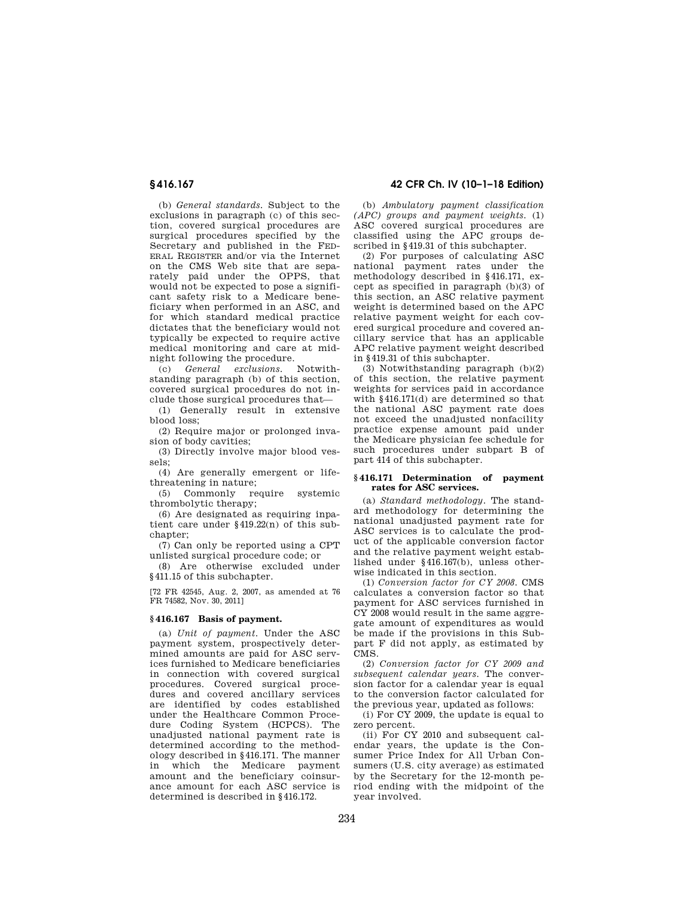(b) *General standards.* Subject to the exclusions in paragraph (c) of this section, covered surgical procedures are surgical procedures specified by the Secretary and published in the FED-ERAL REGISTER and/or via the Internet on the CMS Web site that are separately paid under the OPPS, that would not be expected to pose a significant safety risk to a Medicare beneficiary when performed in an ASC, and for which standard medical practice dictates that the beneficiary would not typically be expected to require active medical monitoring and care at midnight following the procedure.

(c) *General exclusions.* Notwithstanding paragraph (b) of this section, covered surgical procedures do not include those surgical procedures that—

(1) Generally result in extensive blood loss;

(2) Require major or prolonged invasion of body cavities;

(3) Directly involve major blood vessels;

(4) Are generally emergent or lifethreatening in nature;

(5) Commonly require systemic thrombolytic therapy;

(6) Are designated as requiring inpatient care under §419.22(n) of this subchapter;

(7) Can only be reported using a CPT unlisted surgical procedure code; or

(8) Are otherwise excluded under §411.15 of this subchapter.

[72 FR 42545, Aug. 2, 2007, as amended at 76 FR 74582, Nov. 30, 2011]

#### **§ 416.167 Basis of payment.**

(a) *Unit of payment.* Under the ASC payment system, prospectively determined amounts are paid for ASC services furnished to Medicare beneficiaries in connection with covered surgical procedures. Covered surgical procedures and covered ancillary services are identified by codes established under the Healthcare Common Procedure Coding System (HCPCS). The unadjusted national payment rate is determined according to the methodology described in §416.171. The manner in which the Medicare payment amount and the beneficiary coinsurance amount for each ASC service is determined is described in §416.172.

**§ 416.167 42 CFR Ch. IV (10–1–18 Edition)** 

(b) *Ambulatory payment classification (APC) groups and payment weights.* (1) ASC covered surgical procedures are classified using the APC groups described in §419.31 of this subchapter.

(2) For purposes of calculating ASC national payment rates under the methodology described in §416.171, except as specified in paragraph (b)(3) of this section, an ASC relative payment weight is determined based on the APC relative payment weight for each covered surgical procedure and covered ancillary service that has an applicable APC relative payment weight described in §419.31 of this subchapter.

(3) Notwithstanding paragraph (b)(2) of this section, the relative payment weights for services paid in accordance with  $§416.171(d)$  are determined so that the national ASC payment rate does not exceed the unadjusted nonfacility practice expense amount paid under the Medicare physician fee schedule for such procedures under subpart B of part 414 of this subchapter.

#### **§ 416.171 Determination of payment rates for ASC services.**

(a) *Standard methodology.* The standard methodology for determining the national unadjusted payment rate for ASC services is to calculate the product of the applicable conversion factor and the relative payment weight established under §416.167(b), unless otherwise indicated in this section.

(1) *Conversion factor for CY 2008.* CMS calculates a conversion factor so that payment for ASC services furnished in CY 2008 would result in the same aggregate amount of expenditures as would be made if the provisions in this Subpart F did not apply, as estimated by CMS.

(2) *Conversion factor for CY 2009 and subsequent calendar years.* The conversion factor for a calendar year is equal to the conversion factor calculated for the previous year, updated as follows:

(i) For CY 2009, the update is equal to zero percent.

(ii) For CY 2010 and subsequent calendar years, the update is the Consumer Price Index for All Urban Consumers (U.S. city average) as estimated by the Secretary for the 12-month period ending with the midpoint of the year involved.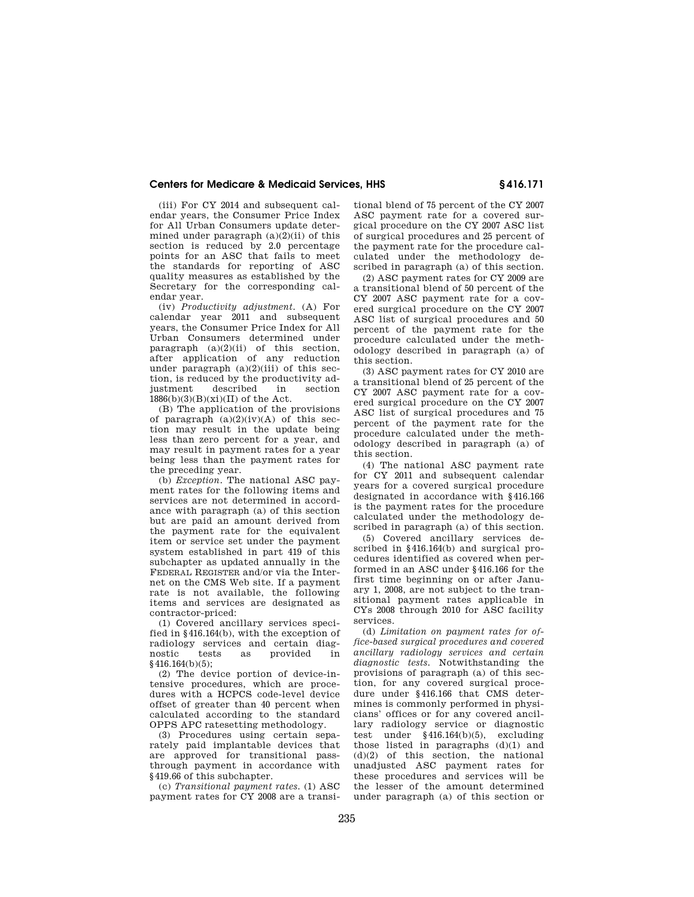(iii) For CY 2014 and subsequent calendar years, the Consumer Price Index for All Urban Consumers update determined under paragraph  $(a)(2)(ii)$  of this section is reduced by 2.0 percentage points for an ASC that fails to meet the standards for reporting of ASC quality measures as established by the Secretary for the corresponding calendar year.

(iv) *Productivity adjustment.* (A) For calendar year 2011 and subsequent years, the Consumer Price Index for All Urban Consumers determined under paragraph  $(a)(2)(ii)$  of this section, after application of any reduction under paragraph  $(a)(2)(iii)$  of this section, is reduced by the productivity adjustment described in section  $1886(b)(3)(B)(xi)(II)$  of the Act.

(B) The application of the provisions of paragraph  $(a)(2)(iv)(A)$  of this section may result in the update being less than zero percent for a year, and may result in payment rates for a year being less than the payment rates for the preceding year.

(b) *Exception.* The national ASC payment rates for the following items and services are not determined in accordance with paragraph (a) of this section but are paid an amount derived from the payment rate for the equivalent item or service set under the payment system established in part 419 of this subchapter as updated annually in the FEDERAL REGISTER and/or via the Internet on the CMS Web site. If a payment rate is not available, the following items and services are designated as contractor-priced:

(1) Covered ancillary services specified in §416.164(b), with the exception of radiology services and certain diagnostic tests as provided in  $$416.164(b)(5)$ ;

(2) The device portion of device-intensive procedures, which are procedures with a HCPCS code-level device offset of greater than 40 percent when calculated according to the standard OPPS APC ratesetting methodology.

(3) Procedures using certain separately paid implantable devices that are approved for transitional passthrough payment in accordance with §419.66 of this subchapter.

(c) *Transitional payment rates.* (1) ASC payment rates for CY 2008 are a transitional blend of 75 percent of the CY 2007 ASC payment rate for a covered surgical procedure on the CY 2007 ASC list of surgical procedures and 25 percent of the payment rate for the procedure calculated under the methodology described in paragraph (a) of this section.

(2) ASC payment rates for CY 2009 are a transitional blend of 50 percent of the CY 2007 ASC payment rate for a covered surgical procedure on the CY 2007 ASC list of surgical procedures and 50 percent of the payment rate for the procedure calculated under the methodology described in paragraph (a) of this section.

(3) ASC payment rates for CY 2010 are a transitional blend of 25 percent of the CY 2007 ASC payment rate for a covered surgical procedure on the CY 2007 ASC list of surgical procedures and 75 percent of the payment rate for the procedure calculated under the methodology described in paragraph (a) of this section.

(4) The national ASC payment rate for CY 2011 and subsequent calendar years for a covered surgical procedure designated in accordance with §416.166 is the payment rates for the procedure calculated under the methodology described in paragraph (a) of this section.

(5) Covered ancillary services described in §416.164(b) and surgical procedures identified as covered when performed in an ASC under §416.166 for the first time beginning on or after January 1, 2008, are not subject to the transitional payment rates applicable in CYs 2008 through 2010 for ASC facility services.

(d) *Limitation on payment rates for office-based surgical procedures and covered ancillary radiology services and certain diagnostic tests.* Notwithstanding the provisions of paragraph (a) of this section, for any covered surgical procedure under §416.166 that CMS determines is commonly performed in physicians' offices or for any covered ancillary radiology service or diagnostic test under §416.164(b)(5), excluding those listed in paragraphs  $(d)(1)$  and (d)(2) of this section, the national unadjusted ASC payment rates for these procedures and services will be the lesser of the amount determined under paragraph (a) of this section or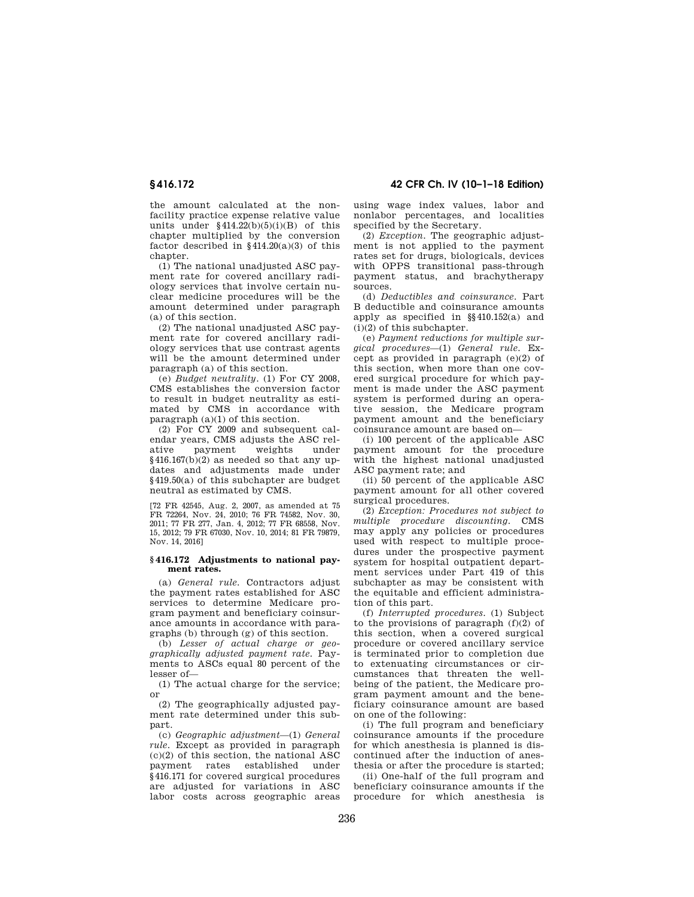the amount calculated at the nonfacility practice expense relative value units under  $§414.22(b)(5)(i)(B)$  of this chapter multiplied by the conversion factor described in §414.20(a)(3) of this chapter.

(1) The national unadjusted ASC payment rate for covered ancillary radiology services that involve certain nuclear medicine procedures will be the amount determined under paragraph (a) of this section.

(2) The national unadjusted ASC payment rate for covered ancillary radiology services that use contrast agents will be the amount determined under paragraph (a) of this section.

(e) *Budget neutrality.* (1) For CY 2008, CMS establishes the conversion factor to result in budget neutrality as estimated by CMS in accordance with paragraph (a)(1) of this section.

(2) For CY 2009 and subsequent calendar years, CMS adjusts the ASC relative payment weights under payment  $§416.167(b)(2)$  as needed so that any updates and adjustments made under §419.50(a) of this subchapter are budget neutral as estimated by CMS.

[72 FR 42545, Aug. 2, 2007, as amended at 75 FR 72264, Nov. 24, 2010; 76 FR 74582, Nov. 30, 2011; 77 FR 277, Jan. 4, 2012; 77 FR 68558, Nov. 15, 2012; 79 FR 67030, Nov. 10, 2014; 81 FR 79879, Nov. 14, 2016]

#### **§ 416.172 Adjustments to national payment rates.**

(a) *General rule.* Contractors adjust the payment rates established for ASC services to determine Medicare program payment and beneficiary coinsurance amounts in accordance with paragraphs (b) through (g) of this section.

(b) *Lesser of actual charge or geographically adjusted payment rate.* Payments to ASCs equal 80 percent of the lesser of—

(1) The actual charge for the service; or

(2) The geographically adjusted payment rate determined under this subpart.

(c) *Geographic adjustment*—(1) *General rule.* Except as provided in paragraph  $(c)(2)$  of this section, the national ASC payment rates established under §416.171 for covered surgical procedures are adjusted for variations in ASC labor costs across geographic areas

**§ 416.172 42 CFR Ch. IV (10–1–18 Edition)** 

using wage index values, labor and nonlabor percentages, and localities specified by the Secretary.

(2) *Exception.* The geographic adjustment is not applied to the payment rates set for drugs, biologicals, devices with OPPS transitional pass-through payment status, and brachytherapy sources.

(d) *Deductibles and coinsurance.* Part B deductible and coinsurance amounts apply as specified in §§410.152(a) and (i)(2) of this subchapter.

(e) *Payment reductions for multiple surgical procedures*—(1) *General rule.* Except as provided in paragraph (e)(2) of this section, when more than one covered surgical procedure for which payment is made under the ASC payment system is performed during an operative session, the Medicare program payment amount and the beneficiary coinsurance amount are based on—

(i) 100 percent of the applicable ASC payment amount for the procedure with the highest national unadjusted ASC payment rate; and

(ii) 50 percent of the applicable ASC payment amount for all other covered surgical procedures.

(2) *Exception: Procedures not subject to multiple procedure discounting.* CMS may apply any policies or procedures used with respect to multiple procedures under the prospective payment system for hospital outpatient department services under Part 419 of this subchapter as may be consistent with the equitable and efficient administration of this part.

(f) *Interrupted procedures.* (1) Subject to the provisions of paragraph  $(f)(2)$  of this section, when a covered surgical procedure or covered ancillary service is terminated prior to completion due to extenuating circumstances or circumstances that threaten the wellbeing of the patient, the Medicare program payment amount and the beneficiary coinsurance amount are based on one of the following:

(i) The full program and beneficiary coinsurance amounts if the procedure for which anesthesia is planned is discontinued after the induction of anesthesia or after the procedure is started;

(ii) One-half of the full program and beneficiary coinsurance amounts if the procedure for which anesthesia is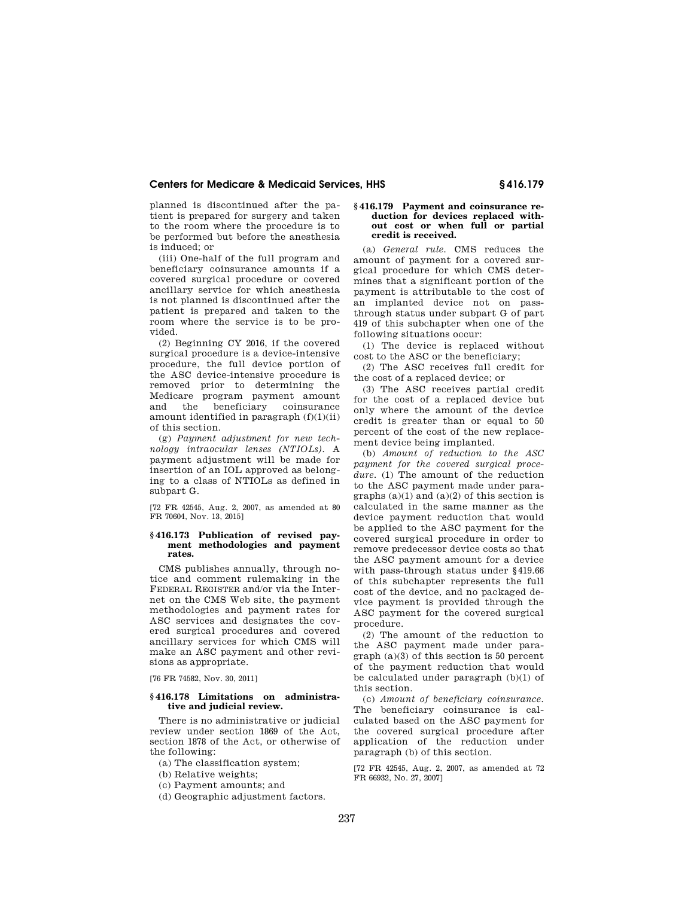planned is discontinued after the patient is prepared for surgery and taken to the room where the procedure is to be performed but before the anesthesia is induced; or

(iii) One-half of the full program and beneficiary coinsurance amounts if a covered surgical procedure or covered ancillary service for which anesthesia is not planned is discontinued after the patient is prepared and taken to the room where the service is to be provided.

(2) Beginning CY 2016, if the covered surgical procedure is a device-intensive procedure, the full device portion of the ASC device-intensive procedure is removed prior to determining the Medicare program payment amount and the beneficiary coinsurance amount identified in paragraph (f)(1)(ii) of this section.

(g) *Payment adjustment for new technology intraocular lenses (NTIOLs).* A payment adjustment will be made for insertion of an IOL approved as belonging to a class of NTIOLs as defined in subpart G.

[72 FR 42545, Aug. 2, 2007, as amended at 80 FR 70604, Nov. 13, 2015]

#### **§ 416.173 Publication of revised payment methodologies and payment rates.**

CMS publishes annually, through notice and comment rulemaking in the FEDERAL REGISTER and/or via the Internet on the CMS Web site, the payment methodologies and payment rates for ASC services and designates the covered surgical procedures and covered ancillary services for which CMS will make an ASC payment and other revisions as appropriate.

[76 FR 74582, Nov. 30, 2011]

## **§ 416.178 Limitations on administrative and judicial review.**

There is no administrative or judicial review under section 1869 of the Act, section 1878 of the Act, or otherwise of the following:

(a) The classification system;

(b) Relative weights;

(c) Payment amounts; and

(d) Geographic adjustment factors.

#### **§ 416.179 Payment and coinsurance reduction for devices replaced without cost or when full or partial credit is received.**

(a) *General rule.* CMS reduces the amount of payment for a covered surgical procedure for which CMS determines that a significant portion of the payment is attributable to the cost of an implanted device not on passthrough status under subpart G of part 419 of this subchapter when one of the following situations occur:

(1) The device is replaced without cost to the ASC or the beneficiary;

(2) The ASC receives full credit for the cost of a replaced device; or

(3) The ASC receives partial credit for the cost of a replaced device but only where the amount of the device credit is greater than or equal to 50 percent of the cost of the new replacement device being implanted.

(b) *Amount of reduction to the ASC payment for the covered surgical proce*dure. (1) The amount of the reduction to the ASC payment made under paragraphs  $(a)(1)$  and  $(a)(2)$  of this section is calculated in the same manner as the device payment reduction that would be applied to the ASC payment for the covered surgical procedure in order to remove predecessor device costs so that the ASC payment amount for a device with pass-through status under §419.66 of this subchapter represents the full cost of the device, and no packaged device payment is provided through the ASC payment for the covered surgical procedure.

(2) The amount of the reduction to the ASC payment made under paragraph (a)(3) of this section is 50 percent of the payment reduction that would be calculated under paragraph (b)(1) of this section.

(c) *Amount of beneficiary coinsurance.*  The beneficiary coinsurance is calculated based on the ASC payment for the covered surgical procedure after application of the reduction under paragraph (b) of this section.

[72 FR 42545, Aug. 2, 2007, as amended at 72 FR 66932, No. 27, 2007]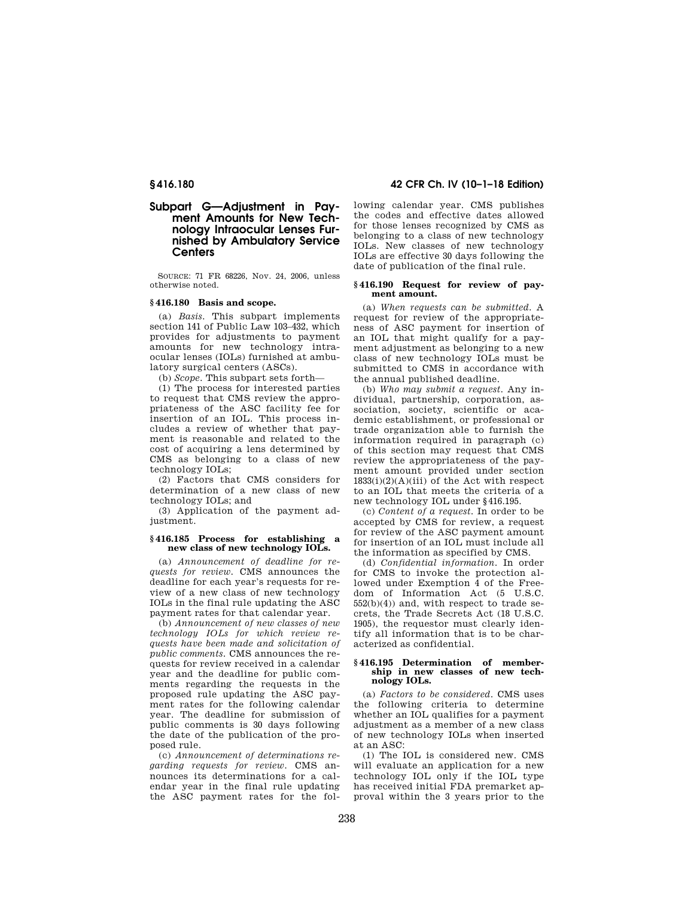# **Subpart G—Adjustment in Payment Amounts for New Technology Intraocular Lenses Furnished by Ambulatory Service Centers**

SOURCE: 71 FR 68226, Nov. 24, 2006, unless otherwise noted.

## **§ 416.180 Basis and scope.**

(a) *Basis.* This subpart implements section 141 of Public Law 103–432, which provides for adjustments to payment amounts for new technology intraocular lenses (IOLs) furnished at ambulatory surgical centers (ASCs).

(b) *Scope.* This subpart sets forth—

(1) The process for interested parties to request that CMS review the appropriateness of the ASC facility fee for insertion of an IOL. This process includes a review of whether that payment is reasonable and related to the cost of acquiring a lens determined by CMS as belonging to a class of new technology IOLs;

(2) Factors that CMS considers for determination of a new class of new technology IOLs; and

(3) Application of the payment adjustment.

## **§ 416.185 Process for establishing a new class of new technology IOLs.**

(a) *Announcement of deadline for requests for review.* CMS announces the deadline for each year's requests for review of a new class of new technology IOLs in the final rule updating the ASC payment rates for that calendar year.

(b) *Announcement of new classes of new technology IOLs for which review requests have been made and solicitation of public comments.* CMS announces the requests for review received in a calendar year and the deadline for public comments regarding the requests in the proposed rule updating the ASC payment rates for the following calendar year. The deadline for submission of public comments is 30 days following the date of the publication of the proposed rule.

(c) *Announcement of determinations regarding requests for review.* CMS announces its determinations for a calendar year in the final rule updating the ASC payment rates for the fol-

**§ 416.180 42 CFR Ch. IV (10–1–18 Edition)** 

lowing calendar year. CMS publishes the codes and effective dates allowed for those lenses recognized by CMS as belonging to a class of new technology IOLs. New classes of new technology IOLs are effective 30 days following the date of publication of the final rule.

## **§ 416.190 Request for review of payment amount.**

(a) *When requests can be submitted.* A request for review of the appropriateness of ASC payment for insertion of an IOL that might qualify for a payment adjustment as belonging to a new class of new technology IOLs must be submitted to CMS in accordance with the annual published deadline.

(b) *Who may submit a request.* Any individual, partnership, corporation, association, society, scientific or academic establishment, or professional or trade organization able to furnish the information required in paragraph (c) of this section may request that CMS review the appropriateness of the payment amount provided under section  $1833(i)(2)(A)(iii)$  of the Act with respect to an IOL that meets the criteria of a new technology IOL under §416.195.

(c) *Content of a request.* In order to be accepted by CMS for review, a request for review of the ASC payment amount for insertion of an IOL must include all the information as specified by CMS.

(d) *Confidential information.* In order for CMS to invoke the protection allowed under Exemption 4 of the Freedom of Information Act (5 U.S.C.  $552(b)(4)$  and, with respect to trade secrets, the Trade Secrets Act (18 U.S.C. 1905), the requestor must clearly identify all information that is to be characterized as confidential.

#### **§ 416.195 Determination of membership in new classes of new technology IOLs.**

(a) *Factors to be considered.* CMS uses the following criteria to determine whether an IOL qualifies for a payment adjustment as a member of a new class of new technology IOLs when inserted at an ASC:

(1) The IOL is considered new. CMS will evaluate an application for a new technology IOL only if the IOL type has received initial FDA premarket approval within the 3 years prior to the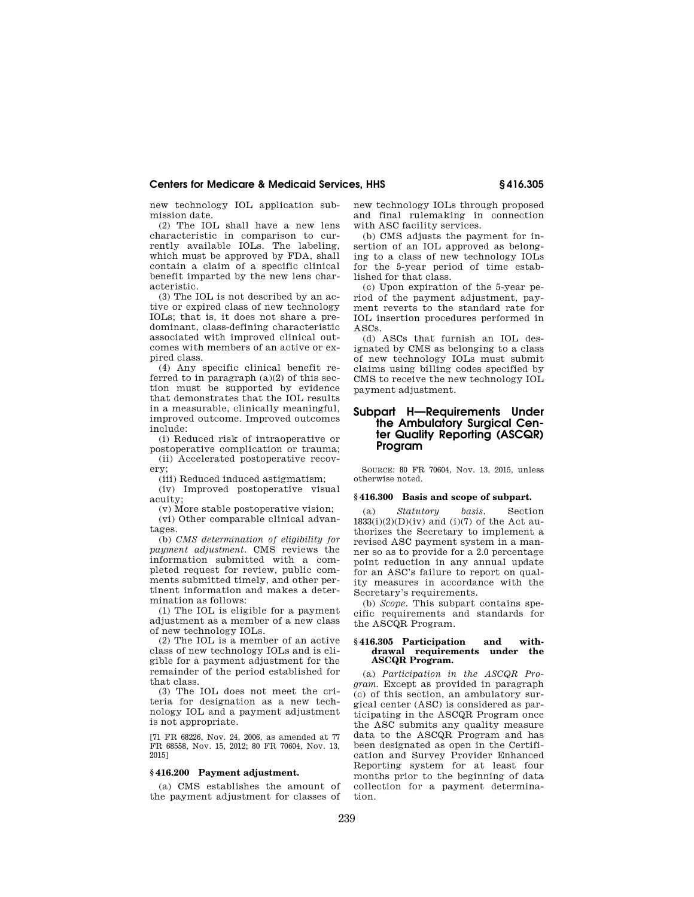new technology IOL application submission date.

(2) The IOL shall have a new lens characteristic in comparison to currently available IOLs. The labeling, which must be approved by FDA, shall contain a claim of a specific clinical benefit imparted by the new lens characteristic.

(3) The IOL is not described by an active or expired class of new technology IOLs; that is, it does not share a predominant, class-defining characteristic associated with improved clinical outcomes with members of an active or expired class.

(4) Any specific clinical benefit referred to in paragraph (a)(2) of this section must be supported by evidence that demonstrates that the IOL results in a measurable, clinically meaningful, improved outcome. Improved outcomes include:

(i) Reduced risk of intraoperative or postoperative complication or trauma;

(ii) Accelerated postoperative recovery;

(iii) Reduced induced astigmatism;

(iv) Improved postoperative visual acuity;

(v) More stable postoperative vision;

(vi) Other comparable clinical advantages.

(b) *CMS determination of eligibility for payment adjustment.* CMS reviews the information submitted with a completed request for review, public comments submitted timely, and other pertinent information and makes a determination as follows:

(1) The IOL is eligible for a payment adjustment as a member of a new class of new technology IOLs.

(2) The IOL is a member of an active class of new technology IOLs and is eligible for a payment adjustment for the remainder of the period established for that class.

(3) The IOL does not meet the criteria for designation as a new technology IOL and a payment adjustment is not appropriate.

[71 FR 68226, Nov. 24, 2006, as amended at 77 FR 68558, Nov. 15, 2012; 80 FR 70604, Nov. 13, 2015]

## **§ 416.200 Payment adjustment.**

(a) CMS establishes the amount of the payment adjustment for classes of new technology IOLs through proposed and final rulemaking in connection with ASC facility services.

(b) CMS adjusts the payment for insertion of an IOL approved as belonging to a class of new technology IOLs for the 5-year period of time established for that class.

(c) Upon expiration of the 5-year period of the payment adjustment, payment reverts to the standard rate for IOL insertion procedures performed in ASCs.

(d) ASCs that furnish an IOL designated by CMS as belonging to a class of new technology IOLs must submit claims using billing codes specified by CMS to receive the new technology IOL payment adjustment.

# **Subpart H—Requirements Under the Ambulatory Surgical Center Quality Reporting (ASCQR) Program**

SOURCE: 80 FR 70604, Nov. 13, 2015, unless otherwise noted.

#### **§ 416.300 Basis and scope of subpart.**

(a) *Statutory basis.* Section  $1833(i)(2)(D)(iv)$  and  $(i)(7)$  of the Act authorizes the Secretary to implement a revised ASC payment system in a manner so as to provide for a 2.0 percentage point reduction in any annual update for an ASC's failure to report on quality measures in accordance with the Secretary's requirements.

(b) *Scope.* This subpart contains specific requirements and standards for the ASCQR Program.

#### **§ 416.305 Participation and withdrawal requirements under the ASCQR Program.**

(a) *Participation in the ASCQR Program.* Except as provided in paragraph (c) of this section, an ambulatory surgical center (ASC) is considered as participating in the ASCQR Program once the ASC submits any quality measure data to the ASCQR Program and has been designated as open in the Certification and Survey Provider Enhanced Reporting system for at least four months prior to the beginning of data collection for a payment determination.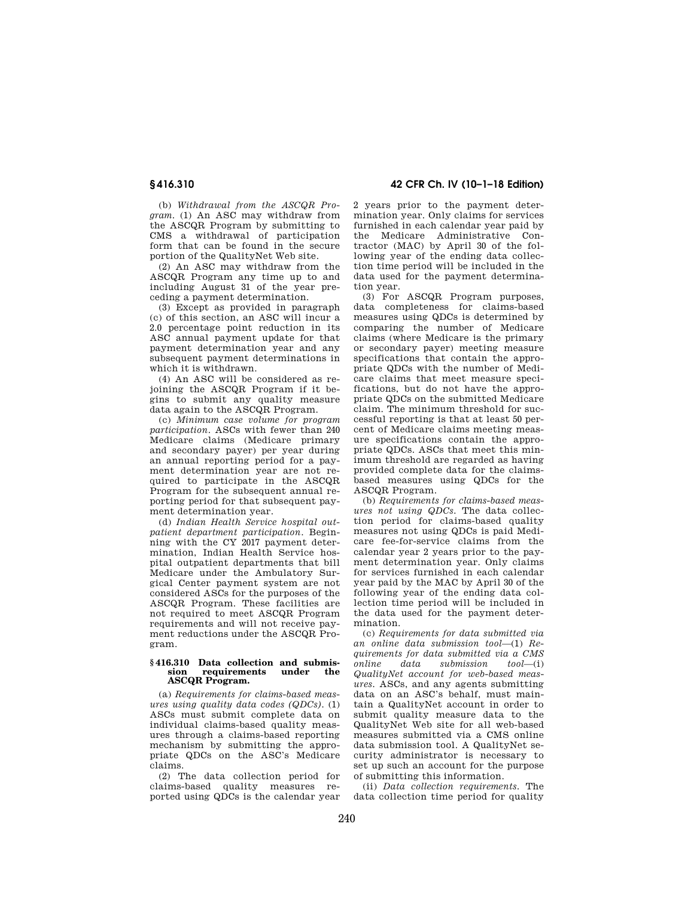(b) *Withdrawal from the ASCQR Program*. (1) An ASC may withdraw from the ASCQR Program by submitting to CMS a withdrawal of participation form that can be found in the secure portion of the QualityNet Web site.

(2) An ASC may withdraw from the ASCQR Program any time up to and including August 31 of the year preceding a payment determination.

(3) Except as provided in paragraph (c) of this section, an ASC will incur a 2.0 percentage point reduction in its ASC annual payment update for that payment determination year and any subsequent payment determinations in which it is withdrawn.

(4) An ASC will be considered as rejoining the ASCQR Program if it begins to submit any quality measure data again to the ASCQR Program.

(c) *Minimum case volume for program participation*. ASCs with fewer than 240 Medicare claims (Medicare primary and secondary payer) per year during an annual reporting period for a payment determination year are not required to participate in the ASCQR Program for the subsequent annual reporting period for that subsequent payment determination year.

(d) *Indian Health Service hospital outpatient department participation*. Beginning with the CY 2017 payment determination, Indian Health Service hospital outpatient departments that bill Medicare under the Ambulatory Surgical Center payment system are not considered ASCs for the purposes of the ASCQR Program. These facilities are not required to meet ASCQR Program requirements and will not receive payment reductions under the ASCQR Program.

#### **§ 416.310 Data collection and submissince requirements ASCQR Program.**

(a) *Requirements for claims-based measures using quality data codes (QDCs).* (1) ASCs must submit complete data on individual claims-based quality measures through a claims-based reporting mechanism by submitting the appropriate QDCs on the ASC's Medicare claims.

(2) The data collection period for claims-based quality measures reported using QDCs is the calendar year

**§ 416.310 42 CFR Ch. IV (10–1–18 Edition)** 

2 years prior to the payment determination year. Only claims for services furnished in each calendar year paid by the Medicare Administrative Contractor (MAC) by April 30 of the following year of the ending data collection time period will be included in the data used for the payment determination year.

(3) For ASCQR Program purposes, data completeness for claims-based measures using QDCs is determined by comparing the number of Medicare claims (where Medicare is the primary or secondary payer) meeting measure specifications that contain the appropriate QDCs with the number of Medicare claims that meet measure specifications, but do not have the appropriate QDCs on the submitted Medicare claim. The minimum threshold for successful reporting is that at least 50 percent of Medicare claims meeting measure specifications contain the appropriate QDCs. ASCs that meet this minimum threshold are regarded as having provided complete data for the claimsbased measures using QDCs for the ASCQR Program.

(b) *Requirements for claims-based measures not using QDCs.* The data collection period for claims-based quality measures not using QDCs is paid Medicare fee-for-service claims from the calendar year 2 years prior to the payment determination year. Only claims for services furnished in each calendar year paid by the MAC by April 30 of the following year of the ending data collection time period will be included in the data used for the payment determination.

(c) *Requirements for data submitted via an online data submission tool*—(1) *Requirements for data submitted via a CMS online data submission tool*—(i) *QualityNet account for web-based measures.* ASCs, and any agents submitting data on an ASC's behalf, must maintain a QualityNet account in order to submit quality measure data to the QualityNet Web site for all web-based measures submitted via a CMS online data submission tool. A QualityNet security administrator is necessary to set up such an account for the purpose of submitting this information.

(ii) *Data collection requirements.* The data collection time period for quality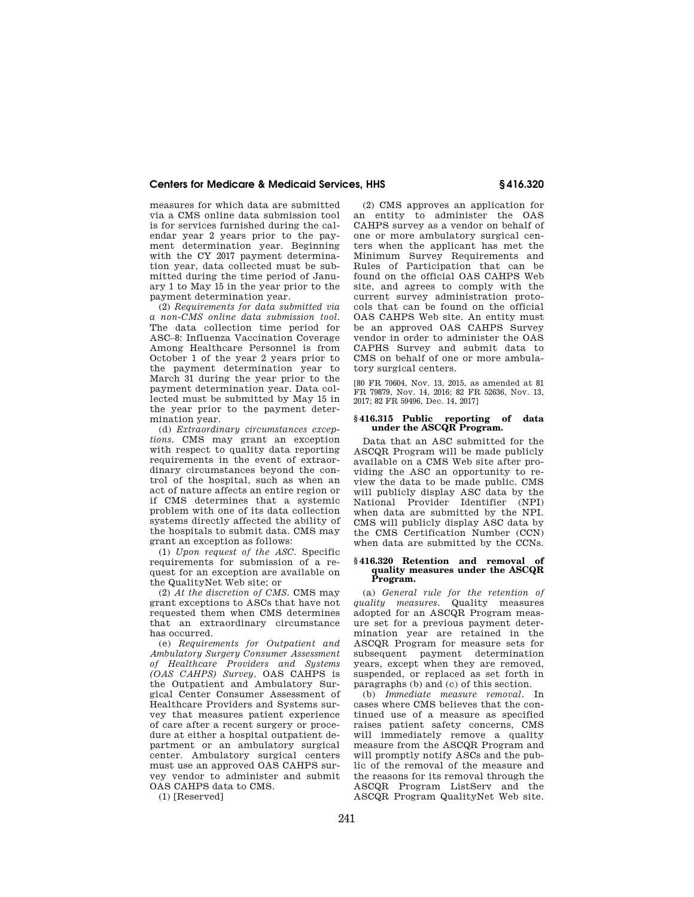measures for which data are submitted via a CMS online data submission tool is for services furnished during the calendar year 2 years prior to the payment determination year. Beginning with the CY 2017 payment determination year, data collected must be submitted during the time period of January 1 to May 15 in the year prior to the payment determination year.

(2) *Requirements for data submitted via a non-CMS online data submission tool*. The data collection time period for ASC–8: Influenza Vaccination Coverage Among Healthcare Personnel is from October 1 of the year 2 years prior to the payment determination year to March 31 during the year prior to the payment determination year. Data collected must be submitted by May 15 in the year prior to the payment determination year.

(d) *Extraordinary circumstances exceptions.* CMS may grant an exception with respect to quality data reporting requirements in the event of extraordinary circumstances beyond the control of the hospital, such as when an act of nature affects an entire region or if CMS determines that a systemic problem with one of its data collection systems directly affected the ability of the hospitals to submit data. CMS may grant an exception as follows:

(1) *Upon request of the ASC.* Specific requirements for submission of a request for an exception are available on the QualityNet Web site; or

(2) *At the discretion of CMS.* CMS may grant exceptions to ASCs that have not requested them when CMS determines that an extraordinary circumstance has occurred.

(e) *Requirements for Outpatient and Ambulatory Surgery Consumer Assessment of Healthcare Providers and Systems (OAS CAHPS) Survey.* OAS CAHPS is the Outpatient and Ambulatory Surgical Center Consumer Assessment of Healthcare Providers and Systems survey that measures patient experience of care after a recent surgery or procedure at either a hospital outpatient department or an ambulatory surgical center. Ambulatory surgical centers must use an approved OAS CAHPS survey vendor to administer and submit OAS CAHPS data to CMS.

(1) [Reserved]

(2) CMS approves an application for an entity to administer the OAS CAHPS survey as a vendor on behalf of one or more ambulatory surgical centers when the applicant has met the Minimum Survey Requirements and Rules of Participation that can be found on the official OAS CAHPS Web site, and agrees to comply with the current survey administration protocols that can be found on the official OAS CAHPS Web site. An entity must be an approved OAS CAHPS Survey vendor in order to administer the OAS CAPHS Survey and submit data to CMS on behalf of one or more ambulatory surgical centers.

[80 FR 70604, Nov. 13, 2015, as amended at 81 FR 79879, Nov. 14, 2016; 82 FR 52636, Nov. 13, 2017; 82 FR 59496, Dec. 14, 2017]

#### **§ 416.315 Public reporting of data under the ASCQR Program.**

Data that an ASC submitted for the ASCQR Program will be made publicly available on a CMS Web site after providing the ASC an opportunity to review the data to be made public. CMS will publicly display ASC data by the National Provider Identifier (NPI) when data are submitted by the NPI. CMS will publicly display ASC data by the CMS Certification Number (CCN) when data are submitted by the CCNs.

#### **§ 416.320 Retention and removal of quality measures under the ASCQR Program.**

(a) *General rule for the retention of quality measures.* Quality measures adopted for an ASCQR Program measure set for a previous payment determination year are retained in the ASCQR Program for measure sets for subsequent payment determination years, except when they are removed, suspended, or replaced as set forth in paragraphs (b) and (c) of this section.

(b) *Immediate measure removal*. In cases where CMS believes that the continued use of a measure as specified raises patient safety concerns, CMS will immediately remove a quality measure from the ASCQR Program and will promptly notify ASCs and the public of the removal of the measure and the reasons for its removal through the ASCQR Program ListServ and the ASCQR Program QualityNet Web site.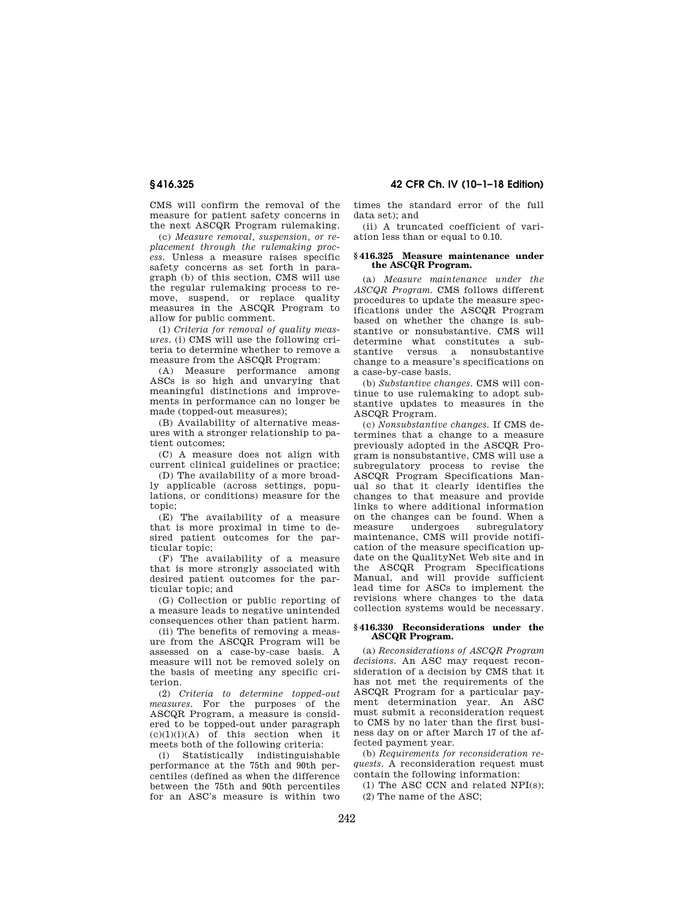CMS will confirm the removal of the measure for patient safety concerns in the next ASCQR Program rulemaking.

(c) *Measure removal, suspension, or replacement through the rulemaking process*. Unless a measure raises specific safety concerns as set forth in paragraph (b) of this section, CMS will use the regular rulemaking process to remove, suspend, or replace quality measures in the ASCQR Program to allow for public comment.

(1) *Criteria for removal of quality measures*. (i) CMS will use the following criteria to determine whether to remove a measure from the ASCQR Program:

(A) Measure performance among ASCs is so high and unvarying that meaningful distinctions and improvements in performance can no longer be made (topped-out measures);

(B) Availability of alternative measures with a stronger relationship to patient outcomes;

(C) A measure does not align with current clinical guidelines or practice;

(D) The availability of a more broadly applicable (across settings, populations, or conditions) measure for the topic;

(E) The availability of a measure that is more proximal in time to desired patient outcomes for the particular topic;

(F) The availability of a measure that is more strongly associated with desired patient outcomes for the particular topic; and

(G) Collection or public reporting of a measure leads to negative unintended consequences other than patient harm.

(ii) The benefits of removing a measure from the ASCQR Program will be assessed on a case-by-case basis. A measure will not be removed solely on the basis of meeting any specific criterion.

(2) *Criteria to determine topped-out measures*. For the purposes of the ASCQR Program, a measure is considered to be topped-out under paragraph  $(c)(1)(i)(A)$  of this section when it meets both of the following criteria:

(i) Statistically indistinguishable performance at the 75th and 90th percentiles (defined as when the difference between the 75th and 90th percentiles for an ASC's measure is within two

**§ 416.325 42 CFR Ch. IV (10–1–18 Edition)** 

times the standard error of the full data set); and

(ii) A truncated coefficient of variation less than or equal to 0.10.

#### **§ 416.325 Measure maintenance under the ASCQR Program.**

(a) *Measure maintenance under the ASCQR Program.* CMS follows different procedures to update the measure specifications under the ASCQR Program based on whether the change is substantive or nonsubstantive. CMS will determine what constitutes a substantive versus a nonsubstantive change to a measure's specifications on a case-by-case basis.

(b) *Substantive changes*. CMS will continue to use rulemaking to adopt substantive updates to measures in the ASCQR Program.

(c) *Nonsubstantive changes.* If CMS determines that a change to a measure previously adopted in the ASCQR Program is nonsubstantive, CMS will use a subregulatory process to revise the ASCQR Program Specifications Manual so that it clearly identifies the changes to that measure and provide links to where additional information on the changes can be found. When a measure undergoes subregulatory maintenance, CMS will provide notification of the measure specification update on the QualityNet Web site and in the ASCQR Program Specifications Manual, and will provide sufficient lead time for ASCs to implement the revisions where changes to the data collection systems would be necessary.

## **§ 416.330 Reconsiderations under the ASCQR Program.**

(a) *Reconsiderations of ASCQR Program decisions.* An ASC may request reconsideration of a decision by CMS that it has not met the requirements of the ASCQR Program for a particular payment determination year. An ASC must submit a reconsideration request to CMS by no later than the first business day on or after March 17 of the affected payment year.

(b) *Requirements for reconsideration requests*. A reconsideration request must contain the following information:

(1) The ASC CCN and related NPI(s); (2) The name of the ASC;